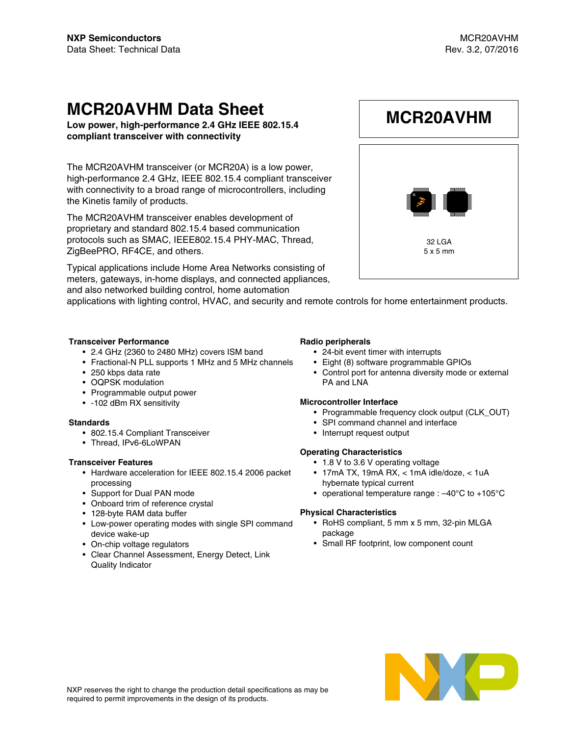**MCR20AVHM**

32 LGA 5 x 5 mm

## **MCR20AVHM Data Sheet**

**Low power, high-performance 2.4 GHz IEEE 802.15.4 compliant transceiver with connectivity**

The MCR20AVHM transceiver (or MCR20A) is a low power, high-performance 2.4 GHz, IEEE 802.15.4 compliant transceiver with connectivity to a broad range of microcontrollers, including the Kinetis family of products.

The MCR20AVHM transceiver enables development of proprietary and standard 802.15.4 based communication protocols such as SMAC, IEEE802.15.4 PHY-MAC, Thread, ZigBeePRO, RF4CE, and others.

Typical applications include Home Area Networks consisting of meters, gateways, in-home displays, and connected appliances, and also networked building control, home automation

applications with lighting control, HVAC, and security and remote controls for home entertainment products.

#### **Transceiver Performance**

- 2.4 GHz (2360 to 2480 MHz) covers ISM band
- Fractional-N PLL supports 1 MHz and 5 MHz channels
- 250 kbps data rate
- OQPSK modulation
- Programmable output power
- -102 dBm RX sensitivity

#### **Standards**

- 802.15.4 Compliant Transceiver
- Thread, IPv6-6LoWPAN

#### **Transceiver Features**

- Hardware acceleration for IEEE 802.15.4 2006 packet processing
- Support for Dual PAN mode
- Onboard trim of reference crystal
- 128-byte RAM data buffer
- Low-power operating modes with single SPI command device wake-up
- On-chip voltage regulators
- Clear Channel Assessment, Energy Detect, Link Quality Indicator

#### **Radio peripherals**

- 24-bit event timer with interrupts
- Eight (8) software programmable GPIOs
- Control port for antenna diversity mode or external PA and LNA

#### **Microcontroller Interface**

- Programmable frequency clock output (CLK\_OUT)
- SPI command channel and interface
- Interrupt request output

#### **Operating Characteristics**

- 1.8 V to 3.6 V operating voltage
- 17mA TX, 19mA RX, < 1mA idle/doze, < 1uA hybernate typical current
- operational temperature range : –40°C to +105°C

#### **Physical Characteristics**

- RoHS compliant, 5 mm x 5 mm, 32-pin MLGA package
- Small RF footprint, low component count

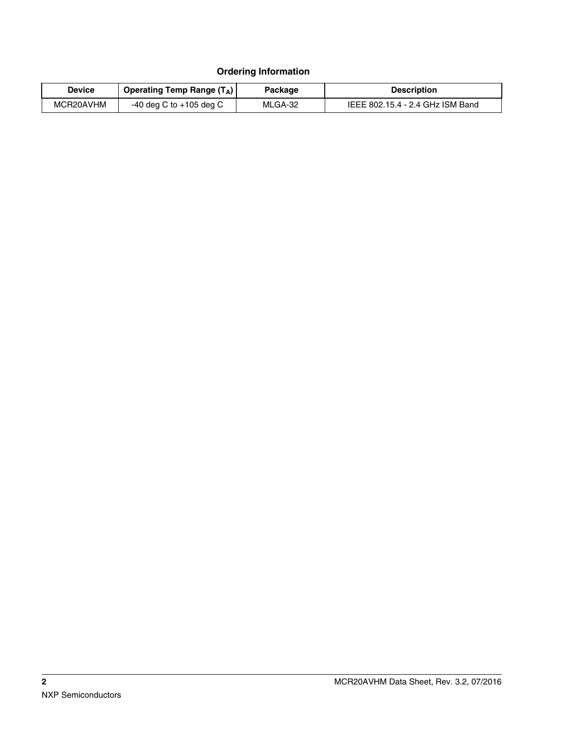#### **Ordering Information**

| <b>Device</b> | Operating Temp Range $(T_A)$ | Package | <b>Description</b>               |  |
|---------------|------------------------------|---------|----------------------------------|--|
| MCR20AVHM     | $-40$ deg C to $+105$ deg C  | MLGA-32 | IEEE 802.15.4 - 2.4 GHz ISM Band |  |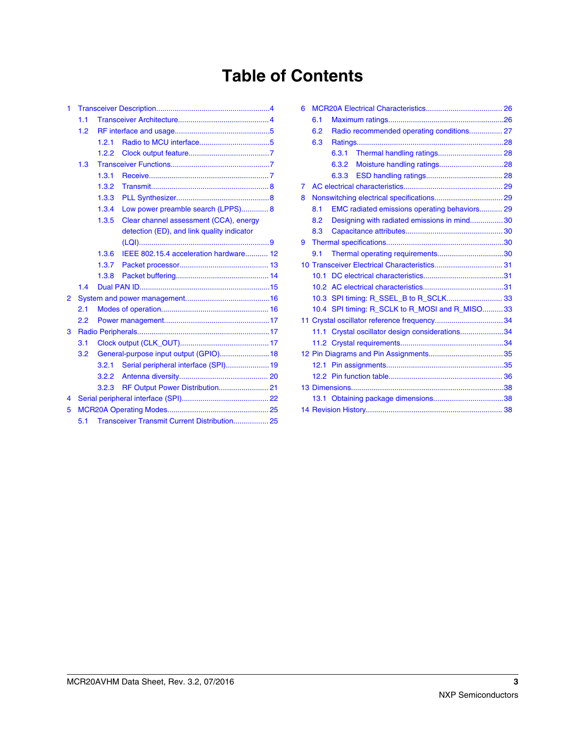# **Table of Contents**

| 1              |                                                     |       |                                            |  |  |  |  |  |  |
|----------------|-----------------------------------------------------|-------|--------------------------------------------|--|--|--|--|--|--|
|                | 1.1                                                 |       |                                            |  |  |  |  |  |  |
|                | 1.2                                                 |       |                                            |  |  |  |  |  |  |
|                |                                                     | 1.2.1 |                                            |  |  |  |  |  |  |
|                |                                                     | 1.2.2 |                                            |  |  |  |  |  |  |
|                | 1.3                                                 |       |                                            |  |  |  |  |  |  |
|                |                                                     | 1.3.1 |                                            |  |  |  |  |  |  |
|                |                                                     | 1.3.2 |                                            |  |  |  |  |  |  |
|                |                                                     | 1.3.3 |                                            |  |  |  |  |  |  |
|                |                                                     | 1.3.4 | Low power preamble search (LPPS) 8         |  |  |  |  |  |  |
|                |                                                     | 1.3.5 | Clear channel assessment (CCA), energy     |  |  |  |  |  |  |
|                |                                                     |       | detection (ED), and link quality indicator |  |  |  |  |  |  |
|                |                                                     |       |                                            |  |  |  |  |  |  |
|                |                                                     | 1.3.6 | IEEE 802.15.4 acceleration hardware 12     |  |  |  |  |  |  |
|                |                                                     | 1.3.7 |                                            |  |  |  |  |  |  |
|                |                                                     | 1.3.8 |                                            |  |  |  |  |  |  |
|                | 1.4                                                 |       |                                            |  |  |  |  |  |  |
| $\overline{2}$ |                                                     |       |                                            |  |  |  |  |  |  |
|                | 2.1                                                 |       |                                            |  |  |  |  |  |  |
|                | 2.2                                                 |       |                                            |  |  |  |  |  |  |
| 3              |                                                     |       |                                            |  |  |  |  |  |  |
|                | 3.1                                                 |       |                                            |  |  |  |  |  |  |
|                | 3.2                                                 |       | General-purpose input output (GPIO) 18     |  |  |  |  |  |  |
|                |                                                     | 3.2.1 | Serial peripheral interface (SPI) 19       |  |  |  |  |  |  |
|                |                                                     | 3.2.2 |                                            |  |  |  |  |  |  |
|                |                                                     | 3.2.3 | RF Output Power Distribution 21            |  |  |  |  |  |  |
| 4              |                                                     |       |                                            |  |  |  |  |  |  |
| 5              |                                                     |       |                                            |  |  |  |  |  |  |
|                | Transceiver Transmit Current Distribution 25<br>5.1 |       |                                            |  |  |  |  |  |  |

| 6.1 |       |                                                                                                                                                                                                                                                                                          |
|-----|-------|------------------------------------------------------------------------------------------------------------------------------------------------------------------------------------------------------------------------------------------------------------------------------------------|
| 6.2 |       |                                                                                                                                                                                                                                                                                          |
| 6.3 |       |                                                                                                                                                                                                                                                                                          |
|     | 6.3.1 |                                                                                                                                                                                                                                                                                          |
|     |       |                                                                                                                                                                                                                                                                                          |
|     |       |                                                                                                                                                                                                                                                                                          |
|     |       |                                                                                                                                                                                                                                                                                          |
|     |       |                                                                                                                                                                                                                                                                                          |
| 8.1 |       |                                                                                                                                                                                                                                                                                          |
| 8.2 |       |                                                                                                                                                                                                                                                                                          |
| 8.3 |       |                                                                                                                                                                                                                                                                                          |
|     |       |                                                                                                                                                                                                                                                                                          |
| 9.1 |       |                                                                                                                                                                                                                                                                                          |
|     |       |                                                                                                                                                                                                                                                                                          |
|     |       |                                                                                                                                                                                                                                                                                          |
|     |       |                                                                                                                                                                                                                                                                                          |
|     |       |                                                                                                                                                                                                                                                                                          |
|     |       |                                                                                                                                                                                                                                                                                          |
|     |       |                                                                                                                                                                                                                                                                                          |
|     |       |                                                                                                                                                                                                                                                                                          |
|     |       |                                                                                                                                                                                                                                                                                          |
|     |       |                                                                                                                                                                                                                                                                                          |
|     |       |                                                                                                                                                                                                                                                                                          |
|     |       |                                                                                                                                                                                                                                                                                          |
|     |       |                                                                                                                                                                                                                                                                                          |
|     |       |                                                                                                                                                                                                                                                                                          |
|     |       |                                                                                                                                                                                                                                                                                          |
|     |       | Radio recommended operating conditions 27<br>EMC radiated emissions operating behaviors 29<br>Designing with radiated emissions in mind30<br>10.3 SPI timing: R_SSEL_B to R_SCLK 33<br>10.4 SPI timing: R_SCLK to R_MOSI and R_MISO33<br>11.1 Crystal oscillator design considerations34 |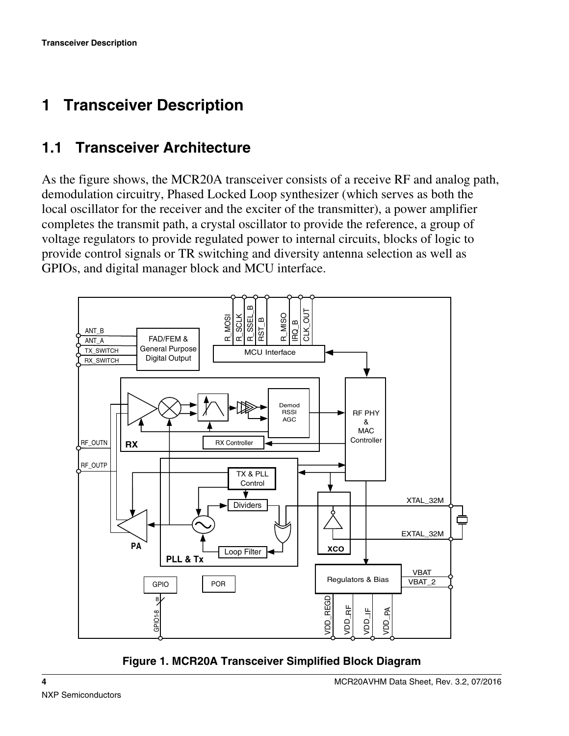# <span id="page-3-0"></span>**1 Transceiver Description**

## **1.1 Transceiver Architecture**

As the figure shows, the MCR20A transceiver consists of a receive RF and analog path, demodulation circuitry, Phased Locked Loop synthesizer (which serves as both the local oscillator for the receiver and the exciter of the transmitter), a power amplifier completes the transmit path, a crystal oscillator to provide the reference, a group of voltage regulators to provide regulated power to internal circuits, blocks of logic to provide control signals or TR switching and diversity antenna selection as well as GPIOs, and digital manager block and MCU interface.



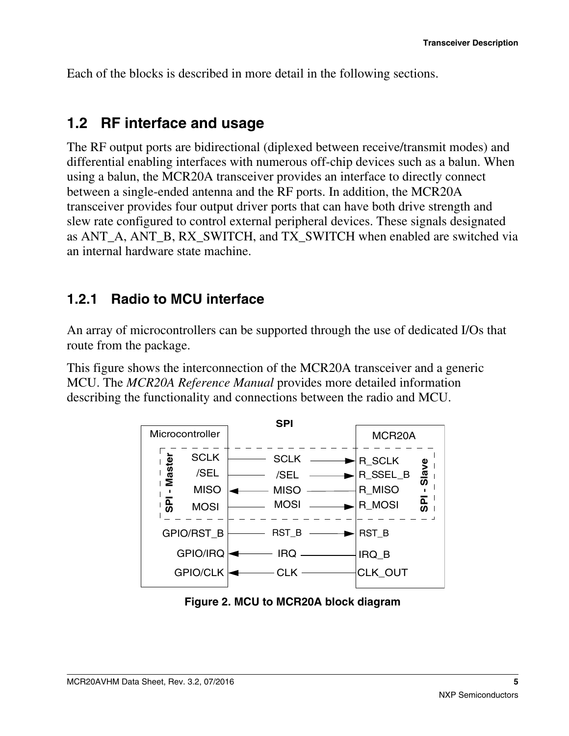<span id="page-4-0"></span>Each of the blocks is described in more detail in the following sections.

#### **1.2 RF interface and usage**

The RF output ports are bidirectional (diplexed between receive/transmit modes) and differential enabling interfaces with numerous off-chip devices such as a balun. When using a balun, the MCR20A transceiver provides an interface to directly connect between a single-ended antenna and the RF ports. In addition, the MCR20A transceiver provides four output driver ports that can have both drive strength and slew rate configured to control external peripheral devices. These signals designated as ANT\_A, ANT\_B, RX\_SWITCH, and TX\_SWITCH when enabled are switched via an internal hardware state machine.

#### **1.2.1 Radio to MCU interface**

An array of microcontrollers can be supported through the use of dedicated I/Os that route from the package.

This figure shows the interconnection of the MCR20A transceiver and a generic MCU. The *MCR20A Reference Manual* provides more detailed information describing the functionality and connections between the radio and MCU.



**Figure 2. MCU to MCR20A block diagram**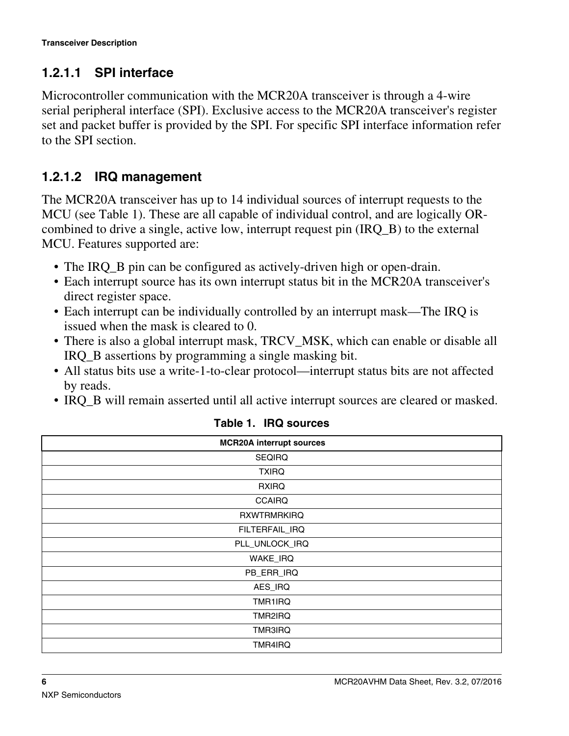#### **1.2.1.1 SPI interface**

Microcontroller communication with the MCR20A transceiver is through a 4-wire serial peripheral interface (SPI). Exclusive access to the MCR20A transceiver's register set and packet buffer is provided by the SPI. For specific SPI interface information refer to the SPI section.

#### **1.2.1.2 IRQ management**

The MCR20A transceiver has up to 14 individual sources of interrupt requests to the MCU (see Table 1). These are all capable of individual control, and are logically ORcombined to drive a single, active low, interrupt request pin (IRQ\_B) to the external MCU. Features supported are:

- The IRQ\_B pin can be configured as actively-driven high or open-drain.
- Each interrupt source has its own interrupt status bit in the MCR20A transceiver's direct register space.
- Each interrupt can be individually controlled by an interrupt mask—The IRQ is issued when the mask is cleared to 0.
- There is also a global interrupt mask, TRCV\_MSK, which can enable or disable all IRQ\_B assertions by programming a single masking bit.
- All status bits use a write-1-to-clear protocol—interrupt status bits are not affected by reads.
- IRQ B will remain asserted until all active interrupt sources are cleared or masked.

| <b>MCR20A interrupt sources</b> |
|---------------------------------|
| <b>SEQIRQ</b>                   |
| <b>TXIRQ</b>                    |
| <b>RXIRQ</b>                    |
| <b>CCAIRQ</b>                   |
| <b>RXWTRMRKIRQ</b>              |
| FILTERFAIL_IRQ                  |
| PLL_UNLOCK_IRQ                  |
| WAKE_IRQ                        |
| PB_ERR_IRQ                      |
| AES_IRQ                         |
| TMR1IRQ                         |
| TMR2IRQ                         |
| TMR3IRQ                         |
| TMR4IRQ                         |

**Table 1. IRQ sources**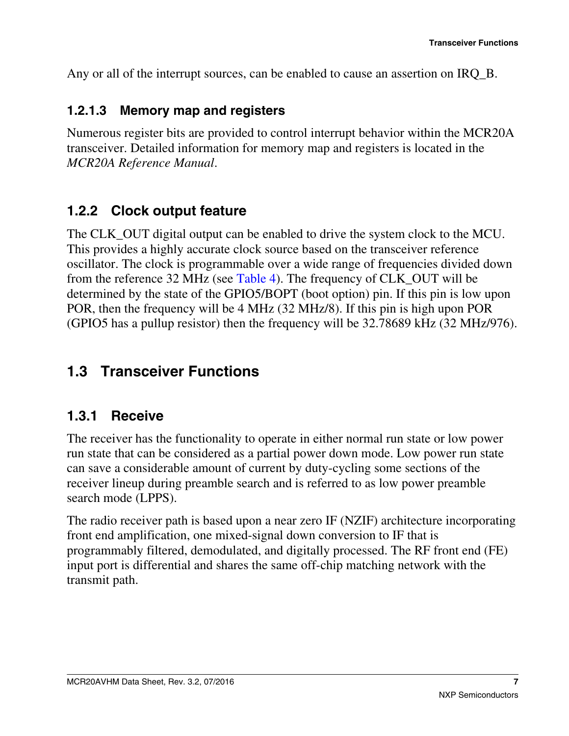<span id="page-6-0"></span>Any or all of the interrupt sources, can be enabled to cause an assertion on IRQ\_B.

#### **1.2.1.3 Memory map and registers**

Numerous register bits are provided to control interrupt behavior within the MCR20A transceiver. Detailed information for memory map and registers is located in the *MCR20A Reference Manual*.

### **1.2.2 Clock output feature**

The CLK\_OUT digital output can be enabled to drive the system clock to the MCU. This provides a highly accurate clock source based on the transceiver reference oscillator. The clock is programmable over a wide range of frequencies divided down from the reference 32 MHz (see [Table 4](#page-16-0)). The frequency of CLK\_OUT will be determined by the state of the GPIO5/BOPT (boot option) pin. If this pin is low upon POR, then the frequency will be 4 MHz (32 MHz/8). If this pin is high upon POR (GPIO5 has a pullup resistor) then the frequency will be 32.78689 kHz (32 MHz/976).

## **Transceiver Functions 1.3**

#### **1.3.1 Receive**

The receiver has the functionality to operate in either normal run state or low power run state that can be considered as a partial power down mode. Low power run state can save a considerable amount of current by duty-cycling some sections of the receiver lineup during preamble search and is referred to as low power preamble search mode (LPPS).

The radio receiver path is based upon a near zero IF (NZIF) architecture incorporating front end amplification, one mixed-signal down conversion to IF that is programmably filtered, demodulated, and digitally processed. The RF front end (FE) input port is differential and shares the same off-chip matching network with the transmit path.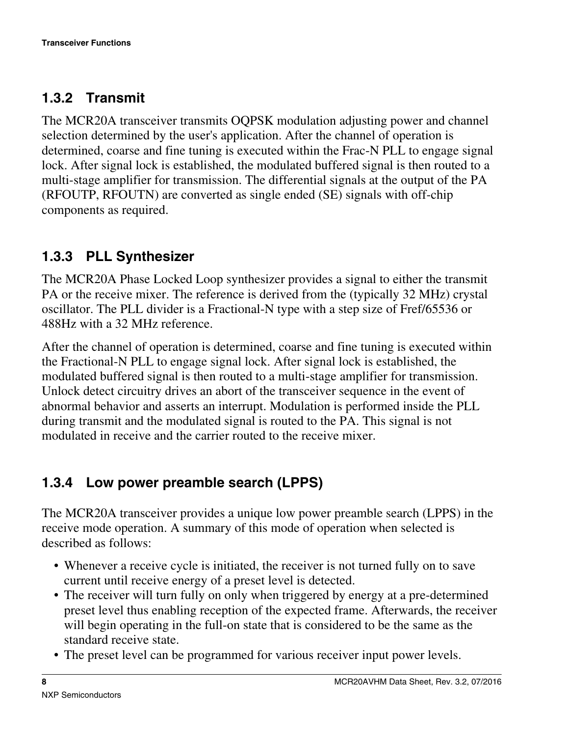### <span id="page-7-0"></span>**1.3.2 Transmit**

The MCR20A transceiver transmits OQPSK modulation adjusting power and channel selection determined by the user's application. After the channel of operation is determined, coarse and fine tuning is executed within the Frac-N PLL to engage signal lock. After signal lock is established, the modulated buffered signal is then routed to a multi-stage amplifier for transmission. The differential signals at the output of the PA (RFOUTP, RFOUTN) are converted as single ended (SE) signals with off-chip components as required.

## **1.3.3 PLL Synthesizer**

The MCR20A Phase Locked Loop synthesizer provides a signal to either the transmit PA or the receive mixer. The reference is derived from the (typically 32 MHz) crystal oscillator. The PLL divider is a Fractional-N type with a step size of Fref/65536 or 488Hz with a 32 MHz reference.

After the channel of operation is determined, coarse and fine tuning is executed within the Fractional-N PLL to engage signal lock. After signal lock is established, the modulated buffered signal is then routed to a multi-stage amplifier for transmission. Unlock detect circuitry drives an abort of the transceiver sequence in the event of abnormal behavior and asserts an interrupt. Modulation is performed inside the PLL during transmit and the modulated signal is routed to the PA. This signal is not modulated in receive and the carrier routed to the receive mixer.

## **1.3.4 Low power preamble search (LPPS)**

The MCR20A transceiver provides a unique low power preamble search (LPPS) in the receive mode operation. A summary of this mode of operation when selected is described as follows:

- Whenever a receive cycle is initiated, the receiver is not turned fully on to save current until receive energy of a preset level is detected.
- The receiver will turn fully on only when triggered by energy at a pre-determined preset level thus enabling reception of the expected frame. Afterwards, the receiver will begin operating in the full-on state that is considered to be the same as the standard receive state.
- The preset level can be programmed for various receiver input power levels.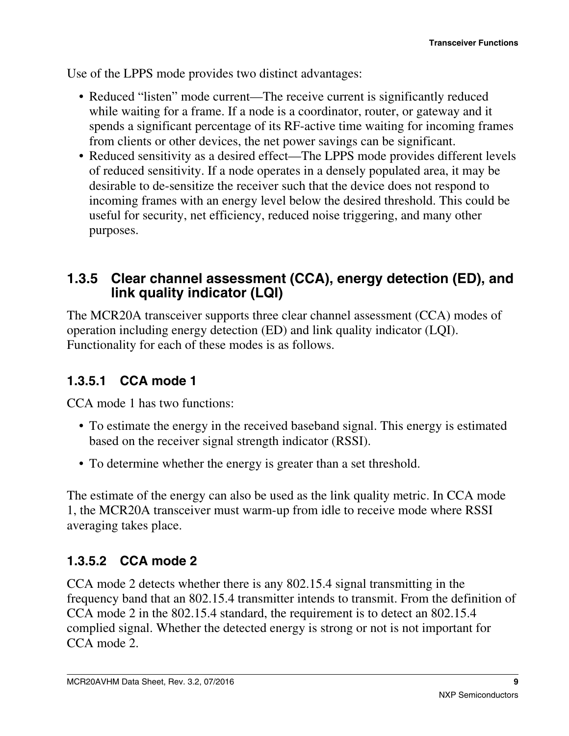<span id="page-8-0"></span>Use of the LPPS mode provides two distinct advantages:

- Reduced "listen" mode current—The receive current is significantly reduced while waiting for a frame. If a node is a coordinator, router, or gateway and it spends a significant percentage of its RF-active time waiting for incoming frames from clients or other devices, the net power savings can be significant.
- Reduced sensitivity as a desired effect—The LPPS mode provides different levels of reduced sensitivity. If a node operates in a densely populated area, it may be desirable to de-sensitize the receiver such that the device does not respond to incoming frames with an energy level below the desired threshold. This could be useful for security, net efficiency, reduced noise triggering, and many other purposes.

#### **1.3.5 Clear channel assessment (CCA), energy detection (ED), and link quality indicator (LQI)**

The MCR20A transceiver supports three clear channel assessment (CCA) modes of operation including energy detection (ED) and link quality indicator (LQI). Functionality for each of these modes is as follows.

#### **1.3.5.1 CCA mode 1**

CCA mode 1 has two functions:

- To estimate the energy in the received baseband signal. This energy is estimated based on the receiver signal strength indicator (RSSI).
- To determine whether the energy is greater than a set threshold.

The estimate of the energy can also be used as the link quality metric. In CCA mode 1, the MCR20A transceiver must warm-up from idle to receive mode where RSSI averaging takes place.

#### **1.3.5.2 CCA mode 2**

CCA mode 2 detects whether there is any 802.15.4 signal transmitting in the frequency band that an 802.15.4 transmitter intends to transmit. From the definition of CCA mode 2 in the 802.15.4 standard, the requirement is to detect an 802.15.4 complied signal. Whether the detected energy is strong or not is not important for CCA mode 2.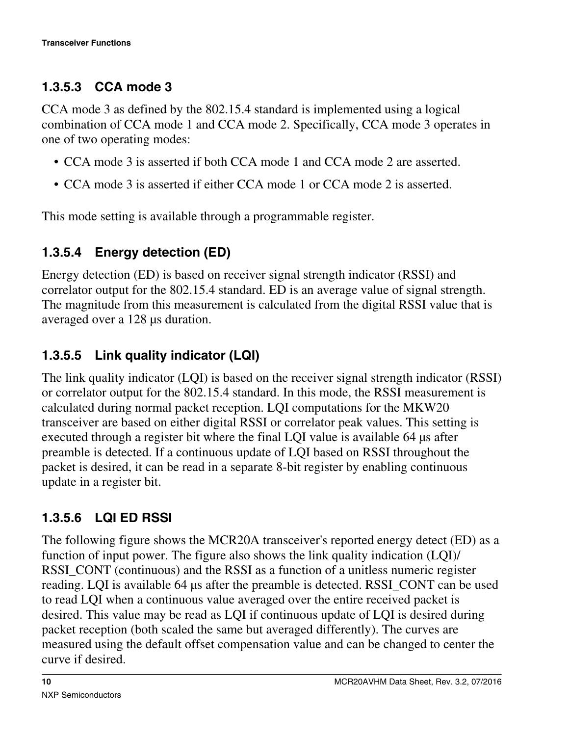#### **1.3.5.3 CCA mode 3**

CCA mode 3 as defined by the 802.15.4 standard is implemented using a logical combination of CCA mode 1 and CCA mode 2. Specifically, CCA mode 3 operates in one of two operating modes:

- CCA mode 3 is asserted if both CCA mode 1 and CCA mode 2 are asserted.
- CCA mode 3 is asserted if either CCA mode 1 or CCA mode 2 is asserted.

This mode setting is available through a programmable register.

### **1.3.5.4 Energy detection (ED)**

Energy detection (ED) is based on receiver signal strength indicator (RSSI) and correlator output for the 802.15.4 standard. ED is an average value of signal strength. The magnitude from this measurement is calculated from the digital RSSI value that is averaged over a 128 μs duration.

### **1.3.5.5 Link quality indicator (LQI)**

The link quality indicator (LQI) is based on the receiver signal strength indicator (RSSI) or correlator output for the 802.15.4 standard. In this mode, the RSSI measurement is calculated during normal packet reception. LQI computations for the MKW20 transceiver are based on either digital RSSI or correlator peak values. This setting is executed through a register bit where the final LQI value is available 64 μs after preamble is detected. If a continuous update of LQI based on RSSI throughout the packet is desired, it can be read in a separate 8-bit register by enabling continuous update in a register bit.

### **1.3.5.6 LQI ED RSSI**

The following figure shows the MCR20A transceiver's reported energy detect (ED) as a function of input power. The figure also shows the link quality indication (LQI)/ RSSI\_CONT (continuous) and the RSSI as a function of a unitless numeric register reading. LQI is available 64 μs after the preamble is detected. RSSI\_CONT can be used to read LQI when a continuous value averaged over the entire received packet is desired. This value may be read as LQI if continuous update of LQI is desired during packet reception (both scaled the same but averaged differently). The curves are measured using the default offset compensation value and can be changed to center the curve if desired.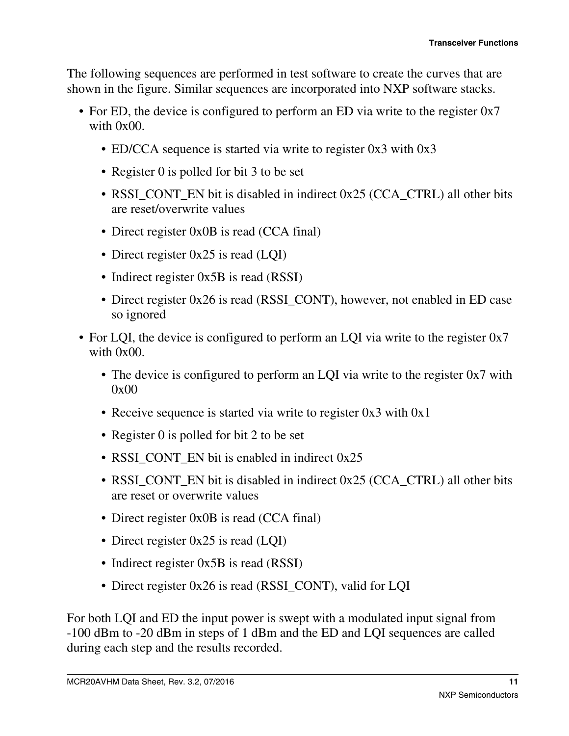The following sequences are performed in test software to create the curves that are shown in the figure. Similar sequences are incorporated into NXP software stacks.

- For ED, the device is configured to perform an ED via write to the register 0x7 with 0x00.
	- ED/CCA sequence is started via write to register 0x3 with 0x3
	- Register 0 is polled for bit 3 to be set
	- RSSI\_CONT\_EN bit is disabled in indirect 0x25 (CCA\_CTRL) all other bits are reset/overwrite values
	- Direct register 0x0B is read (CCA final)
	- Direct register 0x25 is read (LQI)
	- Indirect register 0x5B is read (RSSI)
	- Direct register 0x26 is read (RSSI\_CONT), however, not enabled in ED case so ignored
- For LQI, the device is configured to perform an LQI via write to the register 0x7 with  $0x00$ .
	- The device is configured to perform an LQI via write to the register 0x7 with 0x00
	- Receive sequence is started via write to register 0x3 with 0x1
	- Register 0 is polled for bit 2 to be set
	- RSSI\_CONT\_EN bit is enabled in indirect 0x25
	- RSSI\_CONT\_EN bit is disabled in indirect 0x25 (CCA\_CTRL) all other bits are reset or overwrite values
	- Direct register 0x0B is read (CCA final)
	- Direct register 0x25 is read (LQI)
	- Indirect register 0x5B is read (RSSI)
	- Direct register 0x26 is read (RSSI\_CONT), valid for LQI

For both LQI and ED the input power is swept with a modulated input signal from -100 dBm to -20 dBm in steps of 1 dBm and the ED and LQI sequences are called during each step and the results recorded.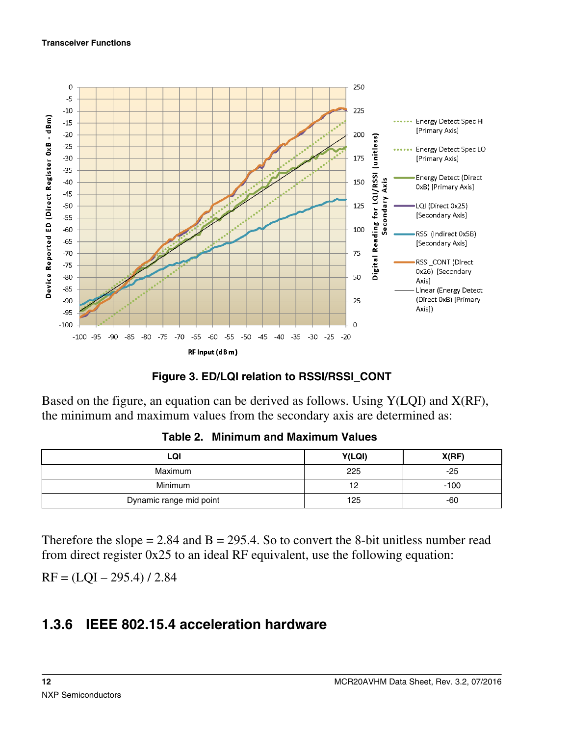#### <span id="page-11-0"></span>**Transceiver Functions**



#### **Figure 3. ED/LQI relation to RSSI/RSSI\_CONT**

Based on the figure, an equation can be derived as follows. Using Y(LQI) and X(RF), the minimum and maximum values from the secondary axis are determined as:

| LQI                     | Y(LQI)    | X(RF)  |
|-------------------------|-----------|--------|
| <b>Maximum</b>          | 225       | $-25$  |
| Minimum                 | 19<br>ے ا | $-100$ |
| Dynamic range mid point | 125       | -60    |

**Table 2. Minimum and Maximum Values**

Therefore the slope  $= 2.84$  and  $B = 295.4$ . So to convert the 8-bit unitless number read from direct register 0x25 to an ideal RF equivalent, use the following equation:

 $RF = (LOI – 295.4) / 2.84$ 

#### **1.3.6 IEEE 802.15.4 acceleration hardware**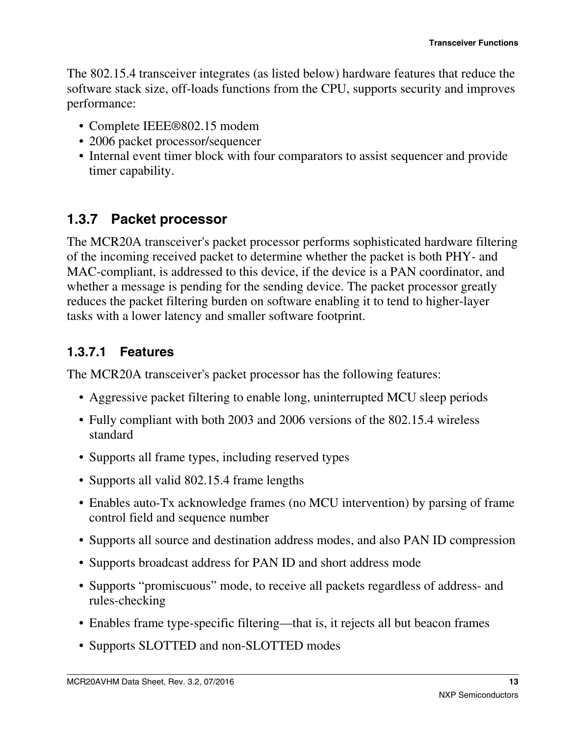<span id="page-12-0"></span>The 802.15.4 transceiver integrates (as listed below) hardware features that reduce the software stack size, off-loads functions from the CPU, supports security and improves performance:

- Complete IEEE®802.15 modem
- 2006 packet processor/sequencer
- Internal event timer block with four comparators to assist sequencer and provide timer capability.

## **1.3.7 Packet processor**

The MCR20A transceiver's packet processor performs sophisticated hardware filtering of the incoming received packet to determine whether the packet is both PHY- and MAC-compliant, is addressed to this device, if the device is a PAN coordinator, and whether a message is pending for the sending device. The packet processor greatly reduces the packet filtering burden on software enabling it to tend to higher-layer tasks with a lower latency and smaller software footprint.

### **1.3.7.1 Features**

The MCR20A transceiver's packet processor has the following features:

- Aggressive packet filtering to enable long, uninterrupted MCU sleep periods
- Fully compliant with both 2003 and 2006 versions of the 802.15.4 wireless standard
- Supports all frame types, including reserved types
- Supports all valid 802.15.4 frame lengths
- Enables auto-Tx acknowledge frames (no MCU intervention) by parsing of frame control field and sequence number
- Supports all source and destination address modes, and also PAN ID compression
- Supports broadcast address for PAN ID and short address mode
- Supports "promiscuous" mode, to receive all packets regardless of address- and rules-checking
- Enables frame type-specific filtering—that is, it rejects all but beacon frames
- Supports SLOTTED and non-SLOTTED modes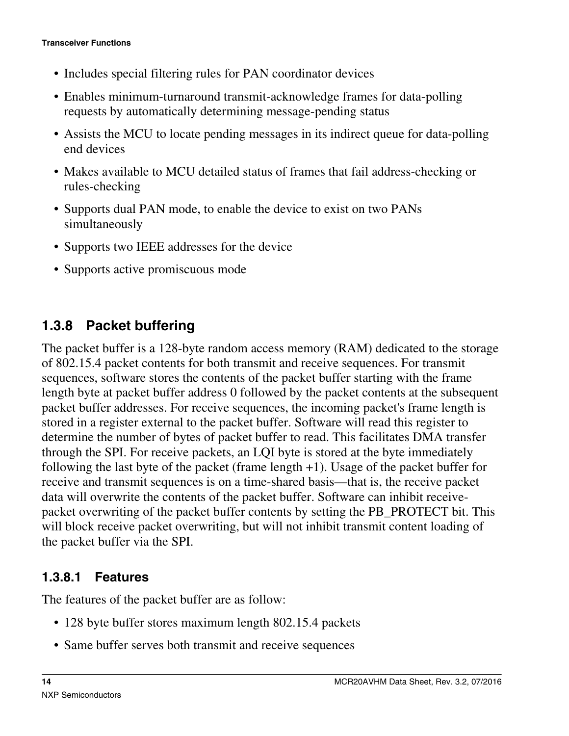- <span id="page-13-0"></span>• Includes special filtering rules for PAN coordinator devices
- Enables minimum-turnaround transmit-acknowledge frames for data-polling requests by automatically determining message-pending status
- Assists the MCU to locate pending messages in its indirect queue for data-polling end devices
- Makes available to MCU detailed status of frames that fail address-checking or rules-checking
- Supports dual PAN mode, to enable the device to exist on two PANs simultaneously
- Supports two IEEE addresses for the device
- Supports active promiscuous mode

### **1.3.8 Packet buffering**

The packet buffer is a 128-byte random access memory (RAM) dedicated to the storage of 802.15.4 packet contents for both transmit and receive sequences. For transmit sequences, software stores the contents of the packet buffer starting with the frame length byte at packet buffer address 0 followed by the packet contents at the subsequent packet buffer addresses. For receive sequences, the incoming packet's frame length is stored in a register external to the packet buffer. Software will read this register to determine the number of bytes of packet buffer to read. This facilitates DMA transfer through the SPI. For receive packets, an LQI byte is stored at the byte immediately following the last byte of the packet (frame length  $+1$ ). Usage of the packet buffer for receive and transmit sequences is on a time-shared basis—that is, the receive packet data will overwrite the contents of the packet buffer. Software can inhibit receivepacket overwriting of the packet buffer contents by setting the PB\_PROTECT bit. This will block receive packet overwriting, but will not inhibit transmit content loading of the packet buffer via the SPI.

#### **1.3.8.1 Features**

The features of the packet buffer are as follow:

- 128 byte buffer stores maximum length 802.15.4 packets
- Same buffer serves both transmit and receive sequences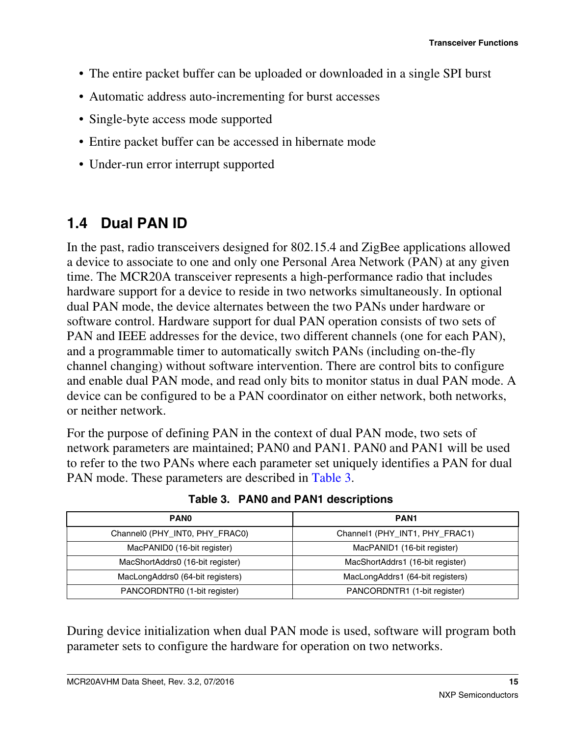- <span id="page-14-0"></span>• The entire packet buffer can be uploaded or downloaded in a single SPI burst
- Automatic address auto-incrementing for burst accesses
- Single-byte access mode supported
- Entire packet buffer can be accessed in hibernate mode
- Under-run error interrupt supported

## **1.4 Dual PAN ID**

In the past, radio transceivers designed for 802.15.4 and ZigBee applications allowed a device to associate to one and only one Personal Area Network (PAN) at any given time. The MCR20A transceiver represents a high-performance radio that includes hardware support for a device to reside in two networks simultaneously. In optional dual PAN mode, the device alternates between the two PANs under hardware or software control. Hardware support for dual PAN operation consists of two sets of PAN and IEEE addresses for the device, two different channels (one for each PAN), and a programmable timer to automatically switch PANs (including on-the-fly channel changing) without software intervention. There are control bits to configure and enable dual PAN mode, and read only bits to monitor status in dual PAN mode. A device can be configured to be a PAN coordinator on either network, both networks, or neither network.

For the purpose of defining PAN in the context of dual PAN mode, two sets of network parameters are maintained; PAN0 and PAN1. PAN0 and PAN1 will be used to refer to the two PANs where each parameter set uniquely identifies a PAN for dual PAN mode. These parameters are described in Table 3.

| <b>PANO</b>                      | <b>PAN1</b>                      |
|----------------------------------|----------------------------------|
| Channel0 (PHY_INT0, PHY_FRAC0)   | Channel1 (PHY_INT1, PHY_FRAC1)   |
| MacPANID0 (16-bit register)      | MacPANID1 (16-bit register)      |
| MacShortAddrs0 (16-bit register) | MacShortAddrs1 (16-bit register) |
| MacLongAddrs0 (64-bit registers) | MacLongAddrs1 (64-bit registers) |
| PANCORDNTR0 (1-bit register)     | PANCORDNTR1 (1-bit register)     |

**Table 3. PAN0 and PAN1 descriptions**

During device initialization when dual PAN mode is used, software will program both parameter sets to configure the hardware for operation on two networks.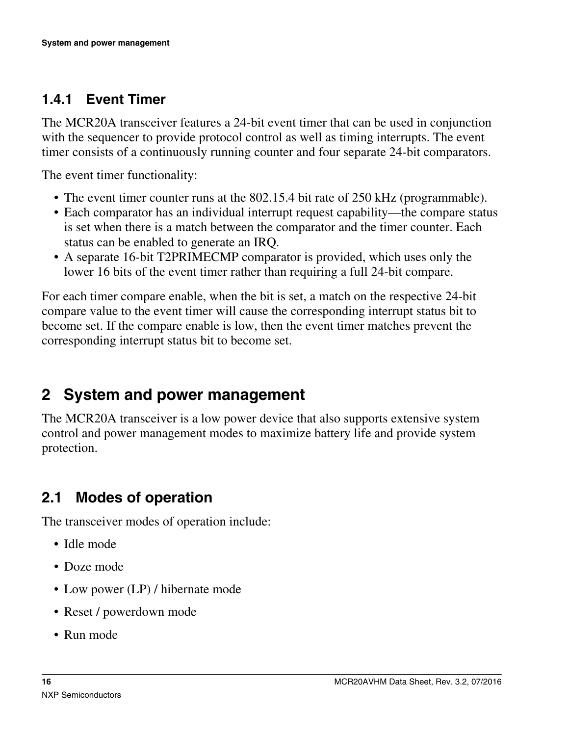## <span id="page-15-0"></span>**1.4.1 Event Timer**

The MCR20A transceiver features a 24-bit event timer that can be used in conjunction with the sequencer to provide protocol control as well as timing interrupts. The event timer consists of a continuously running counter and four separate 24-bit comparators.

The event timer functionality:

- The event timer counter runs at the 802.15.4 bit rate of 250 kHz (programmable).
- Each comparator has an individual interrupt request capability—the compare status is set when there is a match between the comparator and the timer counter. Each status can be enabled to generate an IRQ.
- A separate 16-bit T2PRIMECMP comparator is provided, which uses only the lower 16 bits of the event timer rather than requiring a full 24-bit compare.

For each timer compare enable, when the bit is set, a match on the respective 24-bit compare value to the event timer will cause the corresponding interrupt status bit to become set. If the compare enable is low, then the event timer matches prevent the corresponding interrupt status bit to become set.

# **2 System and power management**

The MCR20A transceiver is a low power device that also supports extensive system control and power management modes to maximize battery life and provide system protection.

## **2.1 Modes of operation**

The transceiver modes of operation include:

- Idle mode
- Doze mode
- Low power (LP) / hibernate mode
- Reset / powerdown mode
- Run mode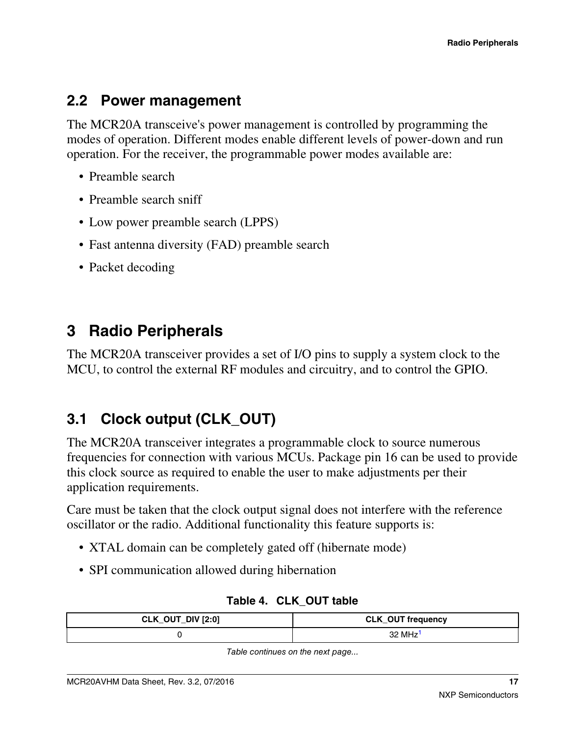#### <span id="page-16-0"></span>**2.2 Power management**

The MCR20A transceive's power management is controlled by programming the modes of operation. Different modes enable different levels of power-down and run operation. For the receiver, the programmable power modes available are:

- Preamble search
- Preamble search sniff
- Low power preamble search (LPPS)
- Fast antenna diversity (FAD) preamble search
- Packet decoding

## **3 Radio Peripherals**

The MCR20A transceiver provides a set of I/O pins to supply a system clock to the MCU, to control the external RF modules and circuitry, and to control the GPIO.

## **3.1 Clock output (CLK\_OUT)**

The MCR20A transceiver integrates a programmable clock to source numerous frequencies for connection with various MCUs. Package pin 16 can be used to provide this clock source as required to enable the user to make adjustments per their application requirements.

Care must be taken that the clock output signal does not interfere with the reference oscillator or the radio. Additional functionality this feature supports is:

- XTAL domain can be completely gated off (hibernate mode)
- SPI communication allowed during hibernation

| CLK_OUT_DIV [2:0] | <b>CLK_OUT frequency</b> |  |  |
|-------------------|--------------------------|--|--|
|                   | 32 MHz                   |  |  |

**Table 4. CLK\_OUT table**

*Table continues on the next page...*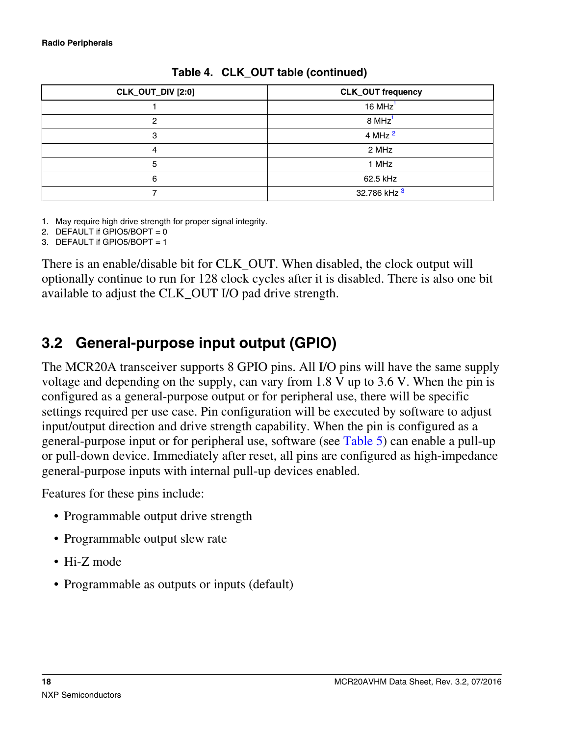<span id="page-17-0"></span>

| CLK_OUT_DIV [2:0] | <b>CLK_OUT frequency</b> |
|-------------------|--------------------------|
|                   | $16 MHz$ <sup>1</sup>    |
| 0                 | $8$ MHz <sup>1</sup>     |
| 3                 | 4 MHz <sup>2</sup>       |
| 4                 | 2 MHz                    |
| 5                 | 1 MHz                    |
| 6                 | 62.5 kHz                 |
|                   | 32.786 kHz 3             |

**Table 4. CLK\_OUT table (continued)**

1. May require high drive strength for proper signal integrity.

2. DEFAULT if GPIO5/BOPT =  $0$ 

3. DEFAULT if GPIO5/BOPT = 1

There is an enable/disable bit for CLK\_OUT. When disabled, the clock output will optionally continue to run for 128 clock cycles after it is disabled. There is also one bit available to adjust the CLK\_OUT I/O pad drive strength.

## **3.2 General-purpose input output (GPIO)**

The MCR20A transceiver supports 8 GPIO pins. All I/O pins will have the same supply voltage and depending on the supply, can vary from 1.8 V up to 3.6 V. When the pin is configured as a general-purpose output or for peripheral use, there will be specific settings required per use case. Pin configuration will be executed by software to adjust input/output direction and drive strength capability. When the pin is configured as a general-purpose input or for peripheral use, software (see [Table 5](#page-18-0)) can enable a pull-up or pull-down device. Immediately after reset, all pins are configured as high-impedance general-purpose inputs with internal pull-up devices enabled.

Features for these pins include:

- Programmable output drive strength
- Programmable output slew rate
- Hi-Z mode
- Programmable as outputs or inputs (default)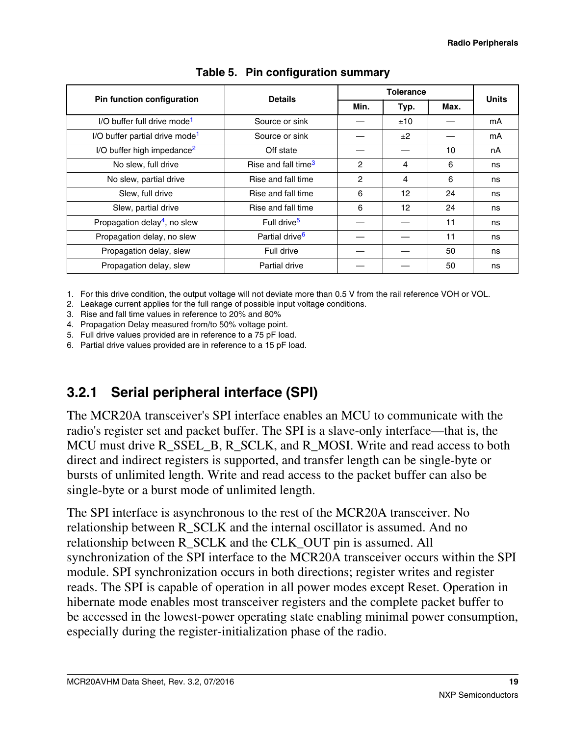<span id="page-18-0"></span>

| Pin function configuration                 | <b>Details</b>                  |                | <b>Tolerance</b> |      |              |  |
|--------------------------------------------|---------------------------------|----------------|------------------|------|--------------|--|
|                                            | Min.                            |                | Typ.             | Max. | <b>Units</b> |  |
| I/O buffer full drive mode <sup>1</sup>    | Source or sink                  |                | ±10              |      | mA           |  |
| I/O buffer partial drive mode <sup>1</sup> | Source or sink                  |                | ±2               |      | mA           |  |
| I/O buffer high impedance <sup>2</sup>     | Off state                       |                |                  | 10   | nA           |  |
| No slew, full drive                        | Rise and fall time <sup>3</sup> | 2              | 4                | 6    | ns           |  |
| No slew, partial drive                     | Rise and fall time              | $\overline{c}$ | 4                | 6    | ns           |  |
| Slew, full drive                           | Rise and fall time              | 6              | 12               | 24   | ns           |  |
| Slew, partial drive                        | Rise and fall time              | 6              | 12               | 24   | ns           |  |
| Propagation delay <sup>4</sup> , no slew   | Full drive <sup>5</sup>         |                |                  | 11   | ns           |  |
| Propagation delay, no slew                 | Partial drive <sup>6</sup>      |                |                  | 11   | ns           |  |
| Propagation delay, slew                    | Full drive                      |                |                  | 50   | ns           |  |
| Propagation delay, slew                    | <b>Partial drive</b>            |                |                  | 50   | ns           |  |

#### **Table 5. Pin configuration summary**

1. For this drive condition, the output voltage will not deviate more than 0.5 V from the rail reference VOH or VOL.

2. Leakage current applies for the full range of possible input voltage conditions.

3. Rise and fall time values in reference to 20% and 80%

4. Propagation Delay measured from/to 50% voltage point.

5. Full drive values provided are in reference to a 75 pF load.

6. Partial drive values provided are in reference to a 15 pF load.

### **3.2.1 Serial peripheral interface (SPI)**

The MCR20A transceiver's SPI interface enables an MCU to communicate with the radio's register set and packet buffer. The SPI is a slave-only interface—that is, the MCU must drive R\_SSEL\_B, R\_SCLK, and R\_MOSI. Write and read access to both direct and indirect registers is supported, and transfer length can be single-byte or bursts of unlimited length. Write and read access to the packet buffer can also be single-byte or a burst mode of unlimited length.

The SPI interface is asynchronous to the rest of the MCR20A transceiver. No relationship between R\_SCLK and the internal oscillator is assumed. And no relationship between R\_SCLK and the CLK\_OUT pin is assumed. All synchronization of the SPI interface to the MCR20A transceiver occurs within the SPI module. SPI synchronization occurs in both directions; register writes and register reads. The SPI is capable of operation in all power modes except Reset. Operation in hibernate mode enables most transceiver registers and the complete packet buffer to be accessed in the lowest-power operating state enabling minimal power consumption, especially during the register-initialization phase of the radio.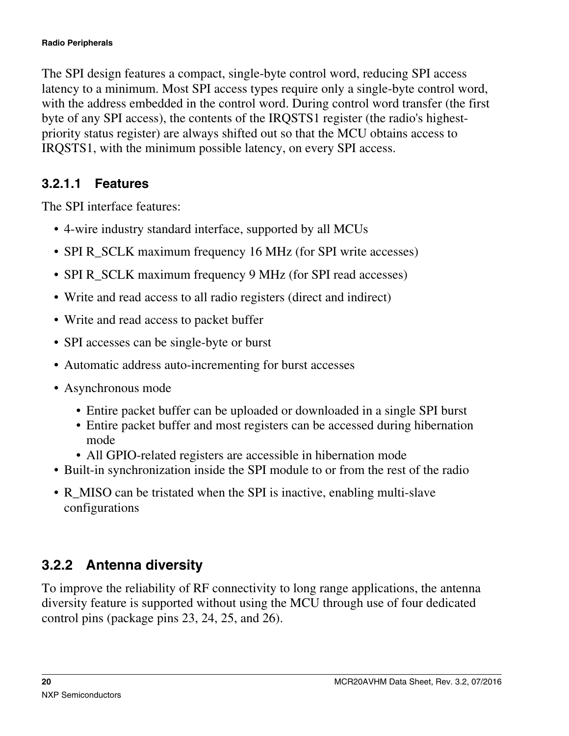<span id="page-19-0"></span>The SPI design features a compact, single-byte control word, reducing SPI access latency to a minimum. Most SPI access types require only a single-byte control word, with the address embedded in the control word. During control word transfer (the first byte of any SPI access), the contents of the IRQSTS1 register (the radio's highestpriority status register) are always shifted out so that the MCU obtains access to IRQSTS1, with the minimum possible latency, on every SPI access.

#### **3.2.1.1 Features**

The SPI interface features:

- 4-wire industry standard interface, supported by all MCUs
- SPI R SCLK maximum frequency 16 MHz (for SPI write accesses)
- SPI R\_SCLK maximum frequency 9 MHz (for SPI read accesses)
- Write and read access to all radio registers (direct and indirect)
- Write and read access to packet buffer
- SPI accesses can be single-byte or burst
- Automatic address auto-incrementing for burst accesses
- Asynchronous mode
	- Entire packet buffer can be uploaded or downloaded in a single SPI burst
	- Entire packet buffer and most registers can be accessed during hibernation mode
	- All GPIO-related registers are accessible in hibernation mode
- Built-in synchronization inside the SPI module to or from the rest of the radio
- R MISO can be tristated when the SPI is inactive, enabling multi-slave configurations

## **3.2.2 Antenna diversity**

To improve the reliability of RF connectivity to long range applications, the antenna diversity feature is supported without using the MCU through use of four dedicated control pins (package pins 23, 24, 25, and 26).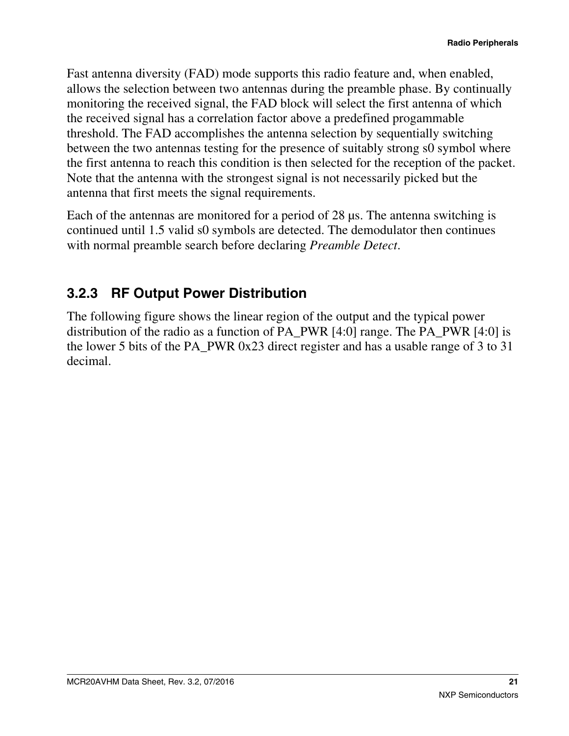<span id="page-20-0"></span>Fast antenna diversity (FAD) mode supports this radio feature and, when enabled, allows the selection between two antennas during the preamble phase. By continually monitoring the received signal, the FAD block will select the first antenna of which the received signal has a correlation factor above a predefined progammable threshold. The FAD accomplishes the antenna selection by sequentially switching between the two antennas testing for the presence of suitably strong s0 symbol where the first antenna to reach this condition is then selected for the reception of the packet. Note that the antenna with the strongest signal is not necessarily picked but the antenna that first meets the signal requirements.

Each of the antennas are monitored for a period of 28 μs. The antenna switching is continued until 1.5 valid s0 symbols are detected. The demodulator then continues with normal preamble search before declaring *Preamble Detect*.

### **3.2.3 RF Output Power Distribution**

The following figure shows the linear region of the output and the typical power distribution of the radio as a function of PA\_PWR [4:0] range. The PA\_PWR [4:0] is the lower 5 bits of the PA\_PWR 0x23 direct register and has a usable range of 3 to 31 decimal.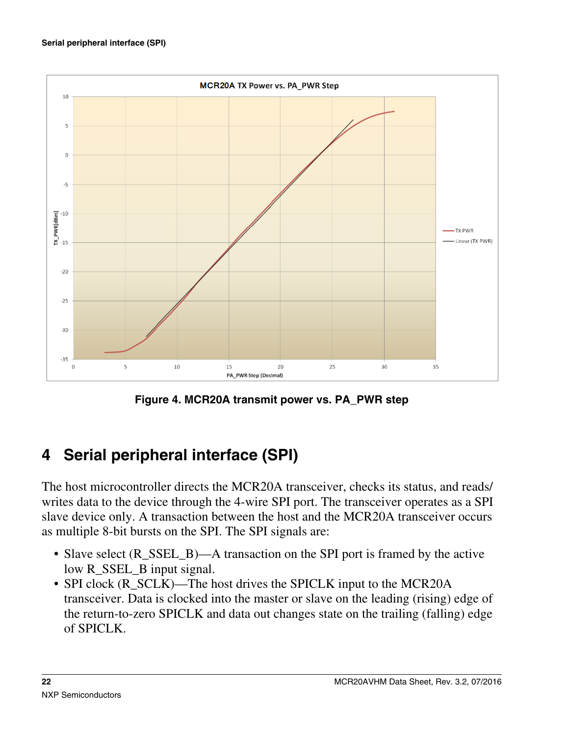<span id="page-21-0"></span>

**Figure 4. MCR20A transmit power vs. PA\_PWR step**

# **4 Serial peripheral interface (SPI)**

The host microcontroller directs the MCR20A transceiver, checks its status, and reads/ writes data to the device through the 4-wire SPI port. The transceiver operates as a SPI slave device only. A transaction between the host and the MCR20A transceiver occurs as multiple 8-bit bursts on the SPI. The SPI signals are:

- Slave select (R\_SSEL\_B)—A transaction on the SPI port is framed by the active low R\_SSEL\_B input signal.
- SPI clock (R\_SCLK)—The host drives the SPICLK input to the MCR20A transceiver. Data is clocked into the master or slave on the leading (rising) edge of the return-to-zero SPICLK and data out changes state on the trailing (falling) edge of SPICLK.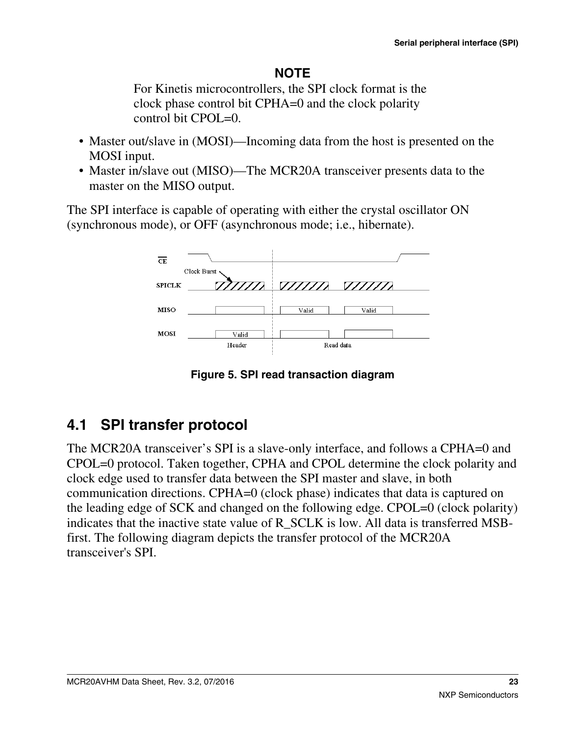#### **NOTE**

For Kinetis microcontrollers, the SPI clock format is the clock phase control bit CPHA=0 and the clock polarity control bit CPOL=0.

- Master out/slave in (MOSI)—Incoming data from the host is presented on the MOSI input.
- Master in/slave out (MISO)—The MCR20A transceiver presents data to the master on the MISO output.

The SPI interface is capable of operating with either the crystal oscillator ON (synchronous mode), or OFF (asynchronous mode; i.e., hibernate).



**Figure 5. SPI read transaction diagram**

# **4.1 SPI transfer protocol**

The MCR20A transceiver's SPI is a slave-only interface, and follows a CPHA=0 and CPOL=0 protocol. Taken together, CPHA and CPOL determine the clock polarity and clock edge used to transfer data between the SPI master and slave, in both communication directions. CPHA=0 (clock phase) indicates that data is captured on the leading edge of SCK and changed on the following edge. CPOL=0 (clock polarity) indicates that the inactive state value of R\_SCLK is low. All data is transferred MSBfirst. The following diagram depicts the transfer protocol of the MCR20A transceiver's SPI.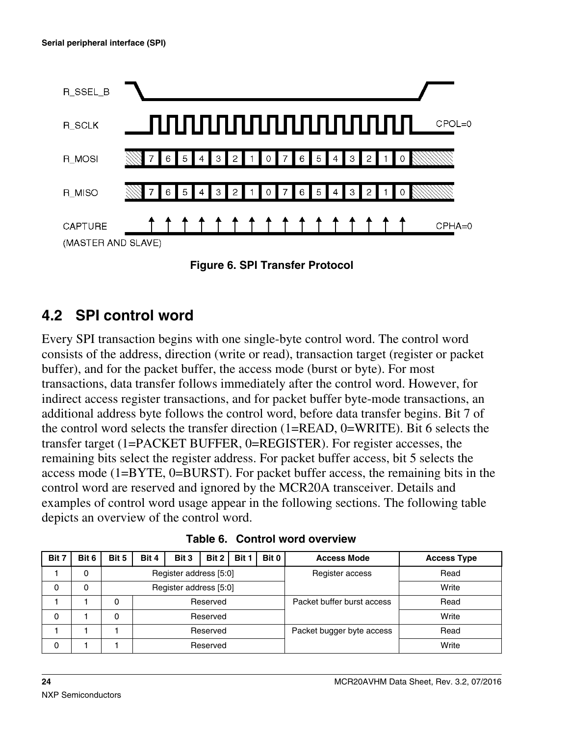

**Figure 6. SPI Transfer Protocol**

### **4.2 SPI control word**

Every SPI transaction begins with one single-byte control word. The control word consists of the address, direction (write or read), transaction target (register or packet buffer), and for the packet buffer, the access mode (burst or byte). For most transactions, data transfer follows immediately after the control word. However, for indirect access register transactions, and for packet buffer byte-mode transactions, an additional address byte follows the control word, before data transfer begins. Bit 7 of the control word selects the transfer direction (1=READ, 0=WRITE). Bit 6 selects the transfer target (1=PACKET BUFFER, 0=REGISTER). For register accesses, the remaining bits select the register address. For packet buffer access, bit 5 selects the access mode (1=BYTE, 0=BURST). For packet buffer access, the remaining bits in the control word are reserved and ignored by the MCR20A transceiver. Details and examples of control word usage appear in the following sections. The following table depicts an overview of the control word.

| Bit 7 | Bit 6 | Bit 5                  | Bit 4                  | Bit 3 | Bit 0<br>Bit 2<br>Bit 1    |       |  | <b>Access Mode</b> | <b>Access Type</b> |
|-------|-------|------------------------|------------------------|-------|----------------------------|-------|--|--------------------|--------------------|
|       | 0     | Register address [5:0] |                        |       |                            |       |  | Register access    | Read               |
| 0     | 0     |                        | Register address [5:0] |       |                            |       |  |                    | Write              |
|       |       | 0                      | Reserved               |       | Packet buffer burst access | Read  |  |                    |                    |
| 0     |       |                        | Reserved               |       |                            | Write |  |                    |                    |
|       |       |                        | Reserved               |       | Packet bugger byte access  | Read  |  |                    |                    |
| 0     |       |                        | Reserved               |       |                            | Write |  |                    |                    |

**Table 6. Control word overview**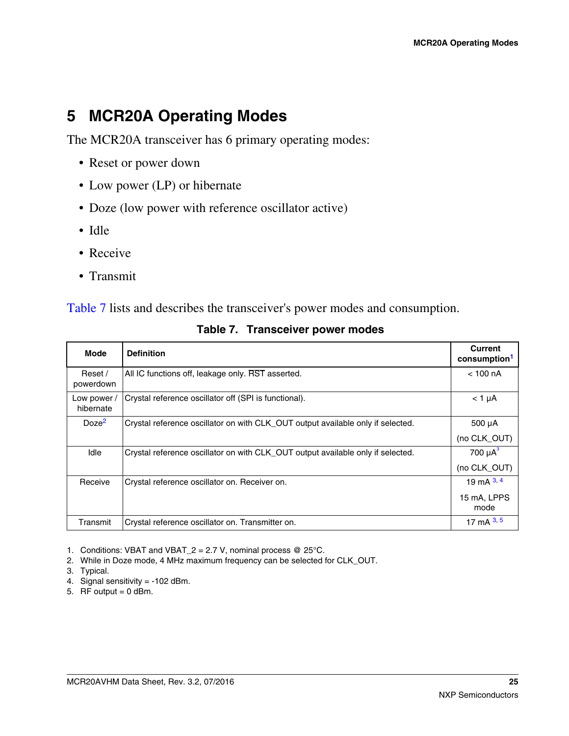## <span id="page-24-0"></span>**5 MCR20A Operating Modes**

The MCR20A transceiver has 6 primary operating modes:

- Reset or power down
- Low power (LP) or hibernate
- Doze (low power with reference oscillator active)
- Idle
- Receive
- Transmit

Table 7 lists and describes the transceiver's power modes and consumption.

| <b>Mode</b>            | <b>Definition</b>                                                               | Current<br>consumption <sup>1</sup> |
|------------------------|---------------------------------------------------------------------------------|-------------------------------------|
| Reset /<br>powerdown   | All IC functions off, leakage only. RST asserted.                               | $<$ 100 nA                          |
| Low power<br>hibernate | Crystal reference oscillator off (SPI is functional).                           | $<$ 1 $\mu$ A                       |
| Doze <sup>2</sup>      | Crystal reference oscillator on with CLK_OUT output available only if selected. | $500 \mu A$                         |
|                        |                                                                                 | (no CLK_OUT)                        |
| Idle                   | Crystal reference oscillator on with CLK_OUT output available only if selected. | 700 $\mu$ A $\overline{3}$          |
|                        |                                                                                 | (no CLK OUT)                        |
| Receive                | Crystal reference oscillator on. Receiver on.                                   | 19 mA $3, 4$                        |
|                        |                                                                                 | 15 mA, LPPS<br>mode                 |
| Transmit               | Crystal reference oscillator on. Transmitter on.                                | 17 mA $3, 5$                        |

**Table 7. Transceiver power modes**

1. Conditions: VBAT and VBAT\_2 = 2.7 V, nominal process @ 25°C.

2. While in Doze mode, 4 MHz maximum frequency can be selected for CLK\_OUT.

3. Typical.

- 4. Signal sensitivity = -102 dBm.
- 5. RF output  $= 0$  dBm.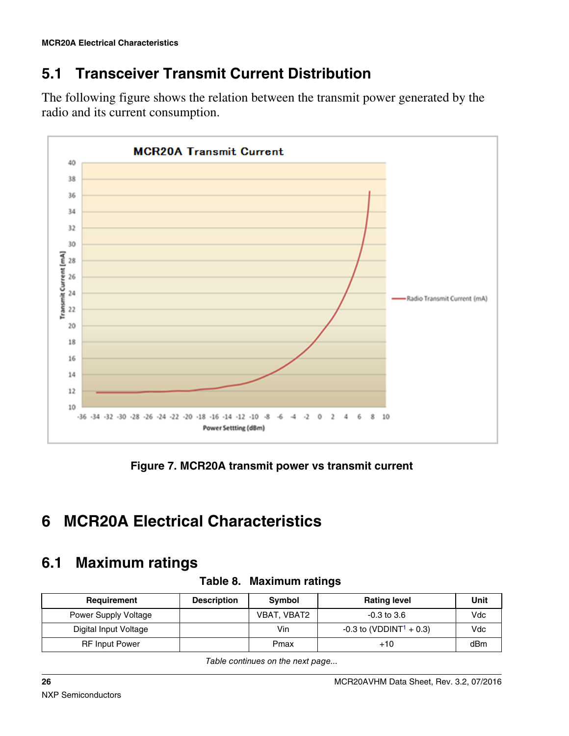## <span id="page-25-0"></span>**5.1 Transceiver Transmit Current Distribution**

The following figure shows the relation between the transmit power generated by the radio and its current consumption.



**Figure 7. MCR20A transmit power vs transmit current**

#### **MCR20A Electrical Characteristics 6**

## **6.1 Maximum ratings**

| Requirement           | <b>Description</b> | Symbol      | <b>Rating level</b>                   | Unit |  |
|-----------------------|--------------------|-------------|---------------------------------------|------|--|
| Power Supply Voltage  |                    | VBAT, VBAT2 | $-0.3$ to $3.6$                       | Vdc  |  |
| Digital Input Voltage |                    | Vin         | $-0.3$ to (VDDINT <sup>1</sup> + 0.3) | Vdc  |  |
| <b>RF</b> Input Power |                    | Pmax        | $+10$                                 | dBm  |  |

**Table 8. Maximum ratings**

*Table continues on the next page...*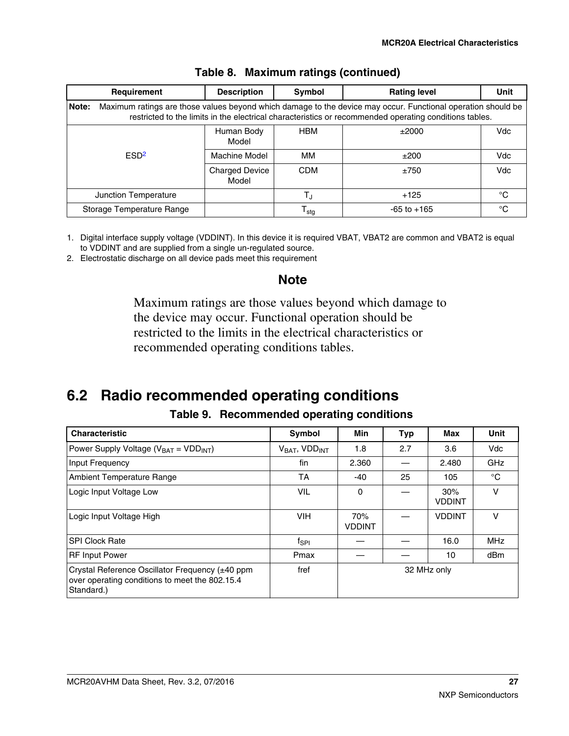<span id="page-26-0"></span>

| Requirement                                                                                                                                                                                                                     | <b>Description</b>             | Symbol           | <b>Rating level</b> | <b>Unit</b> |  |  |  |  |
|---------------------------------------------------------------------------------------------------------------------------------------------------------------------------------------------------------------------------------|--------------------------------|------------------|---------------------|-------------|--|--|--|--|
| Maximum ratings are those values beyond which damage to the device may occur. Functional operation should be<br>Note:<br>restricted to the limits in the electrical characteristics or recommended operating conditions tables. |                                |                  |                     |             |  |  |  |  |
|                                                                                                                                                                                                                                 | Human Body<br>Model            | <b>HBM</b>       | ±2000               | Vdc         |  |  |  |  |
| ESD <sup>2</sup>                                                                                                                                                                                                                | Machine Model                  | MМ               | ±200                | Vdc         |  |  |  |  |
|                                                                                                                                                                                                                                 | <b>Charged Device</b><br>Model | <b>CDM</b>       | ±750                | Vdc         |  |  |  |  |
| Junction Temperature                                                                                                                                                                                                            |                                |                  | $+125$              | °C          |  |  |  |  |
| Storage Temperature Range                                                                                                                                                                                                       |                                | l <sub>stg</sub> | $-65$ to $+165$     | °C          |  |  |  |  |

#### **Table 8. Maximum ratings (continued)**

1. Digital interface supply voltage (VDDINT). In this device it is required VBAT, VBAT2 are common and VBAT2 is equal to VDDINT and are supplied from a single un-regulated source.

2. Electrostatic discharge on all device pads meet this requirement

#### **Note**

Maximum ratings are those values beyond which damage to the device may occur. Functional operation should be restricted to the limits in the electrical characteristics or recommended operating conditions tables.

## **6.2 Radio recommended operating conditions**

#### **Table 9. Recommended operating conditions**

| <b>Characteristic</b>                                                                                           | Symbol                  | Min                  | <b>Typ</b> | Max                  | <b>Unit</b> |
|-----------------------------------------------------------------------------------------------------------------|-------------------------|----------------------|------------|----------------------|-------------|
| Power Supply Voltage ( $V_{BAT}$ = VDD <sub>INT</sub> )                                                         | $V_{BAT}$ , $VDD_{INT}$ | 1.8                  | 2.7        | 3.6                  | Vdc         |
| Input Frequency                                                                                                 | fin                     | 2.360                |            | 2.480                | <b>GHz</b>  |
| <b>Ambient Temperature Range</b>                                                                                | TA                      | $-40$                | 25         | 105                  | $^{\circ}C$ |
| Logic Input Voltage Low                                                                                         | VIL                     | 0                    |            | 30%<br><b>VDDINT</b> | $\vee$      |
| Logic Input Voltage High                                                                                        | <b>VIH</b>              | 70%<br><b>VDDINT</b> |            | <b>VDDINT</b>        | $\vee$      |
| <b>SPI Clock Rate</b>                                                                                           | f <sub>SPI</sub>        |                      |            | 16.0                 | <b>MHz</b>  |
| <b>RF Input Power</b>                                                                                           | Pmax                    |                      |            | 10                   | dBm         |
| Crystal Reference Oscillator Frequency (±40 ppm<br>over operating conditions to meet the 802.15.4<br>Standard.) | fref                    | 32 MHz only          |            |                      |             |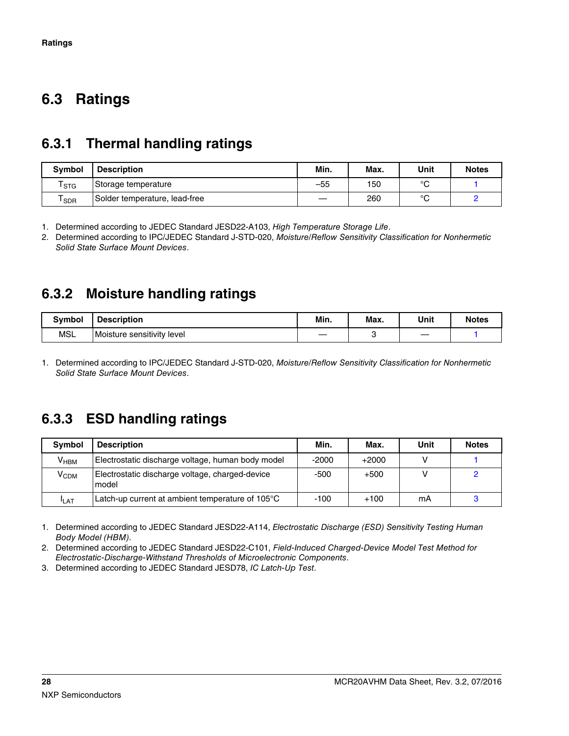#### <span id="page-27-0"></span>**Ratings 6.3**

### **6.3.1 Thermal handling ratings**

| <b>Symbol</b>               | <b>Description</b>            | Min.  | Max. | Unit         | <b>Notes</b> |
|-----------------------------|-------------------------------|-------|------|--------------|--------------|
| $\mathsf{r}_{\texttt{STG}}$ | Storage temperature           | $-55$ | 150  | $\circ$<br>ັ |              |
| SDR                         | Solder temperature, lead-free |       | 260  | $\circ$      |              |

1. Determined according to JEDEC Standard JESD22-A103, *High Temperature Storage Life*.

2. Determined according to IPC/JEDEC Standard J-STD-020, *Moisture/Reflow Sensitivity Classification for Nonhermetic Solid State Surface Mount Devices*.

#### **6.3.2 Moisture handling ratings**

| <b>Symbol</b> | <b>Description</b>         | Min. | Max. | Unit | <b>Notes</b> |
|---------------|----------------------------|------|------|------|--------------|
| <b>MSL</b>    | Moisture sensitivity level | _    |      |      |              |

1. Determined according to IPC/JEDEC Standard J-STD-020, *Moisture/Reflow Sensitivity Classification for Nonhermetic Solid State Surface Mount Devices*.

### **6.3.3 ESD handling ratings**

| <b>Symbol</b>    | <b>Description</b>                                       | Min.   | Max.    | Unit | <b>Notes</b> |
|------------------|----------------------------------------------------------|--------|---------|------|--------------|
| V <sub>HBM</sub> | Electrostatic discharge voltage, human body model        | -2000  | $+2000$ |      |              |
| Ѵ <sub>срм</sub> | Electrostatic discharge voltage, charged-device<br>model | -500   | $+500$  |      |              |
| <b>I</b> LAT     | Latch-up current at ambient temperature of 105°C         | $-100$ | $+100$  | mΑ   |              |

1. Determined according to JEDEC Standard JESD22-A114, *Electrostatic Discharge (ESD) Sensitivity Testing Human Body Model (HBM)*.

2. Determined according to JEDEC Standard JESD22-C101, *Field-Induced Charged-Device Model Test Method for Electrostatic-Discharge-Withstand Thresholds of Microelectronic Components*.

3. Determined according to JEDEC Standard JESD78, *IC Latch-Up Test*.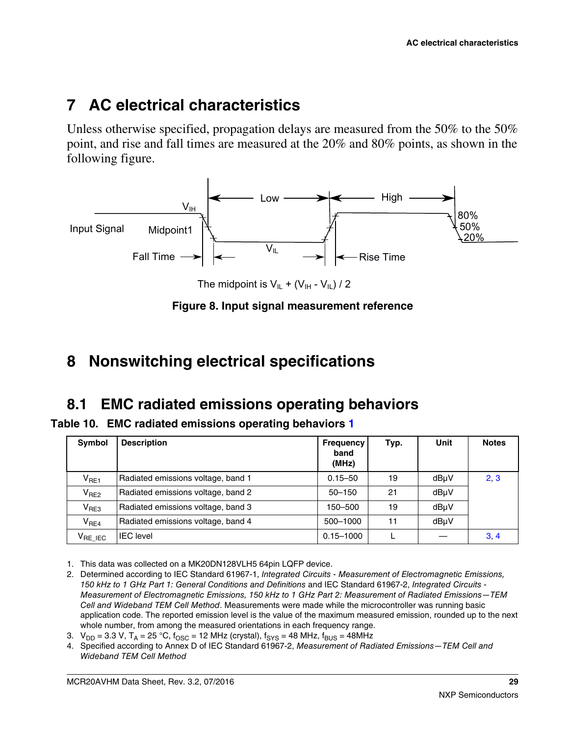# <span id="page-28-0"></span>**7 AC electrical characteristics**

Unless otherwise specified, propagation delays are measured from the 50% to the 50% point, and rise and fall times are measured at the 20% and 80% points, as shown in the following figure.



The midpoint is  $V_{IL} + (V_{IH} - V_{IL}) / 2$ 

#### **Figure 8. Input signal measurement reference**

## **8 Nonswitching electrical specifications**

## **8.1 EMC radiated emissions operating behaviors**

**Table 10. EMC radiated emissions operating behaviors 1**

| Symbol           | <b>Description</b>                 | <b>Frequency</b><br>band<br>(MHz) | Typ. | Unit | <b>Notes</b> |
|------------------|------------------------------------|-----------------------------------|------|------|--------------|
| $V_{RE1}$        | Radiated emissions voltage, band 1 | $0.15 - 50$                       | 19   | dBuV | 2, 3         |
| V <sub>RE2</sub> | Radiated emissions voltage, band 2 | $50 - 150$                        | 21   | dBuV |              |
| V <sub>RE3</sub> | Radiated emissions voltage, band 3 | 150–500                           | 19   | dBµV |              |
| V <sub>RE4</sub> | Radiated emissions voltage, band 4 | 500-1000                          | 11   | dBuV |              |
| $V_{RE}$ IEC     | IEC level                          | $0.15 - 1000$                     |      |      | 3, 4         |

1. This data was collected on a MK20DN128VLH5 64pin LQFP device.

- 2. Determined according to IEC Standard 61967-1, *Integrated Circuits Measurement of Electromagnetic Emissions, 150 kHz to 1 GHz Part 1: General Conditions and Definitions* and IEC Standard 61967-2, *Integrated Circuits - Measurement of Electromagnetic Emissions, 150 kHz to 1 GHz Part 2: Measurement of Radiated Emissions—TEM Cell and Wideband TEM Cell Method*. Measurements were made while the microcontroller was running basic application code. The reported emission level is the value of the maximum measured emission, rounded up to the next whole number, from among the measured orientations in each frequency range.
- 3.  $V_{DD} = 3.3 V$ ,  $T_A = 25 °C$ ,  $f_{OSC} = 12 MHz$  (crystal),  $f_{SYS} = 48 MHz$ ,  $f_{BUS} = 48 MHz$
- 4. Specified according to Annex D of IEC Standard 61967-2, *Measurement of Radiated Emissions—TEM Cell and Wideband TEM Cell Method*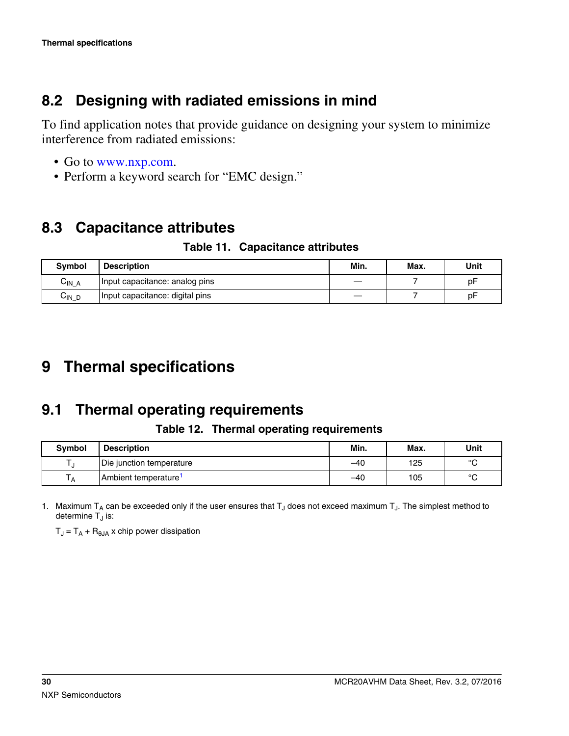### <span id="page-29-0"></span>**8.2 Designing with radiated emissions in mind**

To find application notes that provide guidance on designing your system to minimize interference from radiated emissions:

- Go to [www.nxp.com](http://www.nxp.com).
- Perform a keyword search for "EMC design."

### **8.3 Capacitance attributes**

**Table 11. Capacitance attributes**

| <b>Symbol</b>        | <b>Description</b>              | Min. | Max. | Unit |
|----------------------|---------------------------------|------|------|------|
| $C_{IN\_A}$          | Input capacitance: analog pins  |      |      | рF   |
| $\mathrm{C_{IN\_D}}$ | Input capacitance: digital pins |      |      | рF   |

# **9 Thermal specifications**

## **9.1 Thermal operating requirements**

**Table 12. Thermal operating requirements**

| <b>Symbol</b> | <b>Description</b>               | Min.  | Max. | Unit    |
|---------------|----------------------------------|-------|------|---------|
|               | Die junction temperature         | -40   | 125  | $\circ$ |
| A             | Ambient temperature <sup>1</sup> | $-40$ | 105  | $\circ$ |

1. Maximum T<sub>A</sub> can be exceeded only if the user ensures that T<sub>J</sub> does not exceed maximum T<sub>J</sub>. The simplest method to determine T<sub>J</sub> is:

 $T_{\mathsf{J}} = T_{\mathsf{A}} + \mathsf{R}_{\mathsf{\theta} \mathsf{J} \mathsf{A}}$  x chip power dissipation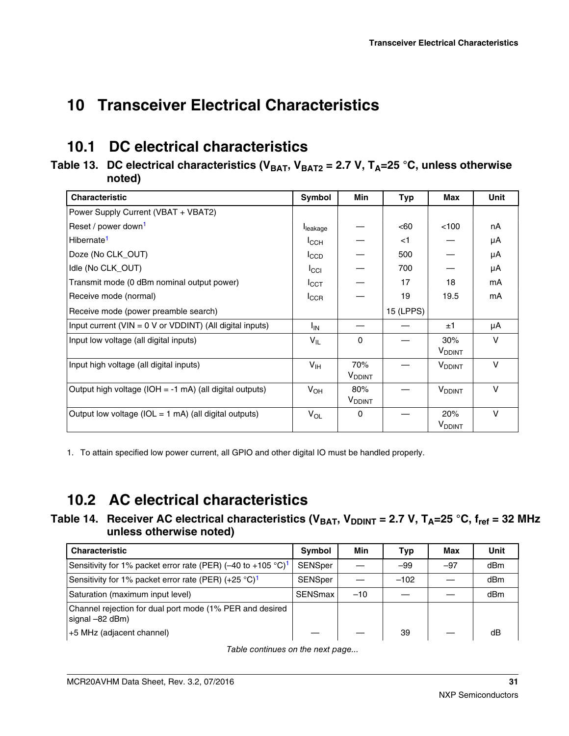# <span id="page-30-0"></span>**Transceiver Electrical Characteristics 10**

## **10.1 DC electrical characteristics**

#### **Table 13. DC electrical characteristics (VBAT, VBAT2 = 2.7 V, TA=25 °C, unless otherwise noted)**

| <b>Characteristic</b>                                          | Symbol           | <b>Min</b>                       | Typ       | Max                              | <b>Unit</b>  |
|----------------------------------------------------------------|------------------|----------------------------------|-----------|----------------------------------|--------------|
| Power Supply Current (VBAT + VBAT2)                            |                  |                                  |           |                                  |              |
| Reset / power down <sup>1</sup>                                | leakage          |                                  | < 60      | 100                              | nA           |
| Hibernate <sup>1</sup>                                         | $I_{\text{CCH}}$ |                                  | $<$ 1     |                                  | μA           |
| Doze (No CLK_OUT)                                              | $I_{CCD}$        |                                  | 500       |                                  | μA           |
| Idle (No CLK_OUT)                                              | $I_{\rm CCl}$    |                                  | 700       |                                  | μA           |
| Transmit mode (0 dBm nominal output power)                     | I <sub>CCT</sub> |                                  | 17        | 18                               | mA           |
| Receive mode (normal)                                          | ICCR             |                                  | 19        | 19.5                             | mA           |
| Receive mode (power preamble search)                           |                  |                                  | 15 (LPPS) |                                  |              |
| Input current ( $VIN = 0 V$ or $VDDINT$ ) (All digital inputs) | $I_{IN}$         |                                  |           | ±1                               | μA           |
| Input low voltage (all digital inputs)                         | $V_{IL}$         | $\Omega$                         |           | 30%<br><b>V</b> <sub>DDINT</sub> | $\mathsf{V}$ |
| Input high voltage (all digital inputs)                        | V <sub>IH</sub>  | 70%<br><b>V</b> <sub>DDINT</sub> |           | <b>V</b> <sub>DDINT</sub>        | $\vee$       |
| Output high voltage (IOH = $-1$ mA) (all digital outputs)      | $V_{OH}$         | 80%<br><b>V</b> <sub>DDINT</sub> |           | <b>V</b> <sub>DDINT</sub>        | $\vee$       |
| Output low voltage ( $IOL = 1$ mA) (all digital outputs)       | $V_{OL}$         | 0                                |           | 20%<br><b>V</b> <sub>DDINT</sub> | $\vee$       |

1. To attain specified low power current, all GPIO and other digital IO must be handled properly.

## **10.2 AC electrical characteristics**

Table 14. Receiver AC electrical characteristics (V<sub>BAT</sub>, V<sub>DDINT</sub> = 2.7 V, T<sub>A</sub>=25 °C, f<sub>ref</sub> = 32 MHz **unless otherwise noted)**

| <b>Characteristic</b>                                                       | Symbol               | Min   | Typ    | Max   | Unit |
|-----------------------------------------------------------------------------|----------------------|-------|--------|-------|------|
| Sensitivity for 1% packet error rate (PER) (-40 to +105 °C) <sup>1</sup>    | SENSper              |       | $-99$  | $-97$ | dBm  |
| Sensitivity for 1% packet error rate (PER) $(+25 \degree C)^1$              | <b>SENSper</b>       |       | $-102$ |       | dBm  |
| Saturation (maximum input level)                                            | SENSmax <sup>1</sup> | $-10$ |        |       | dBm  |
| Channel rejection for dual port mode (1% PER and desired<br>signal –82 dBm) |                      |       |        |       |      |
| +5 MHz (adjacent channel)                                                   |                      |       | 39     |       | dB   |

*Table continues on the next page...*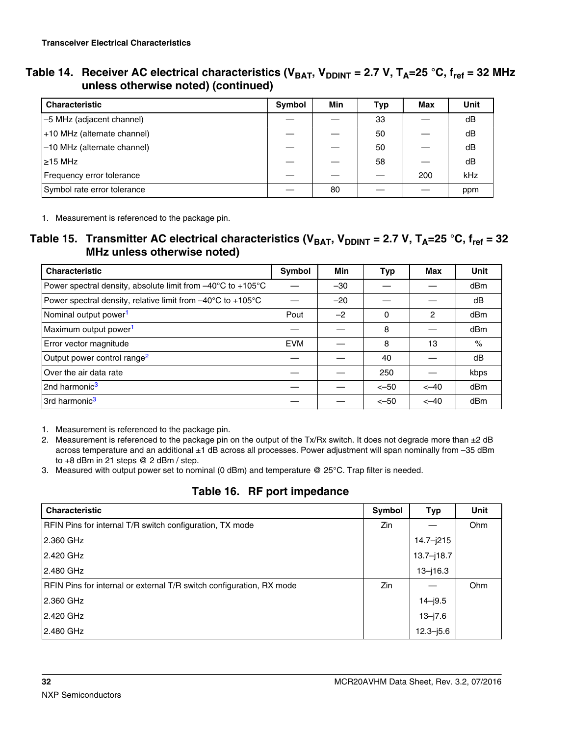<span id="page-31-0"></span>

| Table 14.   Receiver AC electrical characteristics (V <sub>BAT</sub> , V <sub>DDINT</sub> = 2.7 V, T <sub>A</sub> =25 °C, f <sub>ref</sub> = 32 MHz |
|-----------------------------------------------------------------------------------------------------------------------------------------------------|
| unless otherwise noted) (continued)                                                                                                                 |

| <b>Characteristic</b>       | <b>Symbol</b> | Min | Typ | Max | <b>Unit</b> |
|-----------------------------|---------------|-----|-----|-----|-------------|
| -5 MHz (adjacent channel)   |               |     | 33  |     | dB          |
| +10 MHz (alternate channel) |               |     | 50  |     | dB          |
| -10 MHz (alternate channel) |               |     | 50  |     | dB          |
| $\geq$ 15 MHz               |               |     | 58  |     | dB          |
| Frequency error tolerance   |               |     |     | 200 | kHz         |
| Symbol rate error tolerance |               | 80  |     |     | ppm         |

1. Measurement is referenced to the package pin.

#### **Table 15. Transmitter AC electrical characteristics (** $V_{BAT}$ **,**  $V_{DDINT}$  **= 2.7 V,**  $T_A$ **=25 °C,**  $f_{ref}$  **= 32 MHz unless otherwise noted)**

| <b>Characteristic</b>                                                            | Symbol     | Min   | Typ    | Max    | <b>Unit</b> |
|----------------------------------------------------------------------------------|------------|-------|--------|--------|-------------|
| Power spectral density, absolute limit from $-40^{\circ}$ C to +105 $^{\circ}$ C |            | $-30$ |        |        | dBm         |
| Power spectral density, relative limit from -40°C to +105°C                      |            | $-20$ |        |        | dB          |
| Nominal output power <sup>1</sup>                                                | Pout       | $-2$  | 0      | 2      | dBm         |
| Maximum output power <sup>1</sup>                                                |            |       | 8      |        | dBm         |
| Error vector magnitude                                                           | <b>EVM</b> |       | 8      | 13     | $\%$        |
| Output power control range <sup>2</sup>                                          |            |       | 40     |        | dB          |
| Over the air data rate                                                           |            |       | 250    |        | kbps        |
| 2nd harmonic <sup>3</sup>                                                        |            |       | $<-50$ | $<-40$ | dBm         |
| 3rd harmonic <sup>3</sup>                                                        |            |       | $<-50$ | $<-40$ | dBm         |

1. Measurement is referenced to the package pin.

- 2. Measurement is referenced to the package pin on the output of the Tx/Rx switch. It does not degrade more than ±2 dB across temperature and an additional ±1 dB across all processes. Power adjustment will span nominally from –35 dBm to +8 dBm in 21 steps @ 2 dBm / step.
- 3. Measured with output power set to nominal (0 dBm) and temperature @ 25°C. Trap filter is needed.

#### **Table 16. RF port impedance**

| <b>Characteristic</b>                                                | Symbol | Typ            | <b>Unit</b> |
|----------------------------------------------------------------------|--------|----------------|-------------|
| RFIN Pins for internal T/R switch configuration, TX mode             | Zin    |                | Ohm         |
| 2.360 GHz                                                            |        | $14.7 - j215$  |             |
| 2.420 GHz                                                            |        | $13.7 - j18.7$ |             |
| 2.480 GHz                                                            |        | $13 - 16.3$    |             |
| RFIN Pins for internal or external T/R switch configuration, RX mode | Zin    |                | Ohm         |
| 2.360 GHz                                                            |        | $14 - j9.5$    |             |
| 2.420 GHz                                                            |        | $13 - j7.6$    |             |
| 2.480 GHz                                                            |        | $12.3 - j5.6$  |             |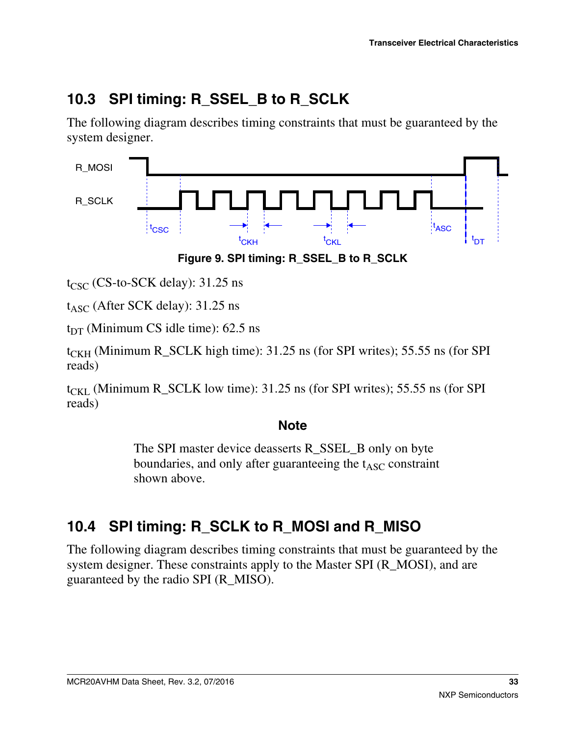## <span id="page-32-0"></span>**10.3 SPI timing: R\_SSEL\_B to R\_SCLK**

The following diagram describes timing constraints that must be guaranteed by the system designer.



**Figure 9. SPI timing: R\_SSEL\_B to R\_SCLK**

 $t_{\text{CSC}}$  (CS-to-SCK delay): 31.25 ns

 $t_{\rm ASC}$  (After SCK delay): 31.25 ns

 $t_{DT}$  (Minimum CS idle time): 62.5 ns

 $t_{CKH}$  (Minimum R\_SCLK high time): 31.25 ns (for SPI writes); 55.55 ns (for SPI reads)

 $t_{CKL}$  (Minimum R\_SCLK low time): 31.25 ns (for SPI writes); 55.55 ns (for SPI reads)

#### **Note**

The SPI master device deasserts R\_SSEL\_B only on byte boundaries, and only after guaranteeing the  $t_{\text{ASC}}$  constraint shown above.

# **10.4 SPI timing: R\_SCLK to R\_MOSI and R\_MISO**

The following diagram describes timing constraints that must be guaranteed by the system designer. These constraints apply to the Master SPI (R\_MOSI), and are guaranteed by the radio SPI (R\_MISO).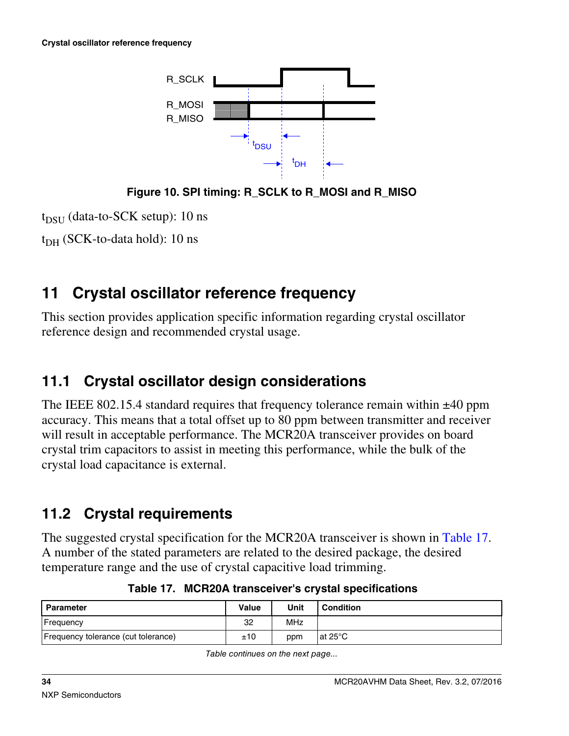<span id="page-33-0"></span>

**Figure 10. SPI timing: R\_SCLK to R\_MOSI and R\_MISO**

 $t_{DSU}$  (data-to-SCK setup): 10 ns

 $t_{\rm DH}$  (SCK-to-data hold): 10 ns

# **11 Crystal oscillator reference frequency**

This section provides application specific information regarding crystal oscillator reference design and recommended crystal usage.

# **11.1 Crystal oscillator design considerations**

The IEEE 802.15.4 standard requires that frequency tolerance remain within  $\pm 40$  ppm accuracy. This means that a total offset up to 80 ppm between transmitter and receiver will result in acceptable performance. The MCR20A transceiver provides on board crystal trim capacitors to assist in meeting this performance, while the bulk of the crystal load capacitance is external.

# **11.2 Crystal requirements**

The suggested crystal specification for the MCR20A transceiver is shown in Table 17. A number of the stated parameters are related to the desired package, the desired temperature range and the use of crystal capacitive load trimming.

| Parameter                           | Value | Unit       | Condition |
|-------------------------------------|-------|------------|-----------|
| Frequency                           | 32    | <b>MHz</b> |           |
| Frequency tolerance (cut tolerance) | ±10   | ppm        | lat 25°C  |

**Table 17. MCR20A transceiver's crystal specifications**

*Table continues on the next page...*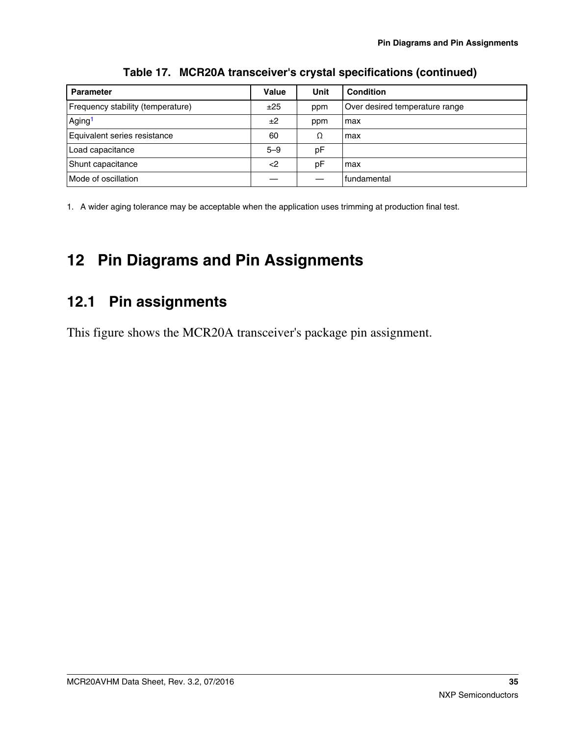<span id="page-34-0"></span>

| <b>Parameter</b>                  | Value   | Unit | <b>Condition</b>               |
|-----------------------------------|---------|------|--------------------------------|
| Frequency stability (temperature) | ±25     | ppm  | Over desired temperature range |
| Aging <sup>1</sup>                | ±2      | ppm  | max                            |
| Equivalent series resistance      | 60      | Ω    | max                            |
| Load capacitance                  | $5 - 9$ | рF   |                                |
| Shunt capacitance                 | $<$ 2   | рF   | max                            |
| Mode of oscillation               |         |      | fundamental                    |

**Table 17. MCR20A transceiver's crystal specifications (continued)**

1. A wider aging tolerance may be acceptable when the application uses trimming at production final test.

# **Pin Diagrams and Pin Assignments 12**

## **12.1 Pin assignments**

This figure shows the MCR20A transceiver's package pin assignment.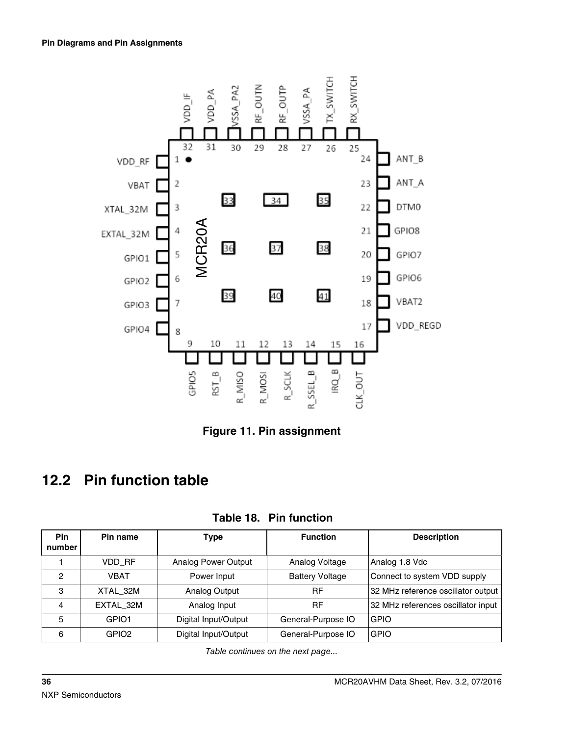<span id="page-35-0"></span>

**Figure 11. Pin assignment**

# **12.2 Pin function table**

| Pin<br>number | Pin name          | Type                 | <b>Function</b>        | <b>Description</b>                 |
|---------------|-------------------|----------------------|------------------------|------------------------------------|
|               | VDD RF            | Analog Power Output  | Analog Voltage         | Analog 1.8 Vdc                     |
| 2             | VBAT              | Power Input          | <b>Battery Voltage</b> | Connect to system VDD supply       |
| 3             | XTAL 32M          | Analog Output        | RF                     | 32 MHz reference oscillator output |
| 4             | EXTAL 32M         | Analog Input         | RF                     | 32 MHz references oscillator input |
| 5             | GPIO1             | Digital Input/Output | General-Purpose IO     | <b>GPIO</b>                        |
| 6             | GPIO <sub>2</sub> | Digital Input/Output | General-Purpose IO     | <b>GPIO</b>                        |

**Table 18. Pin function**

*Table continues on the next page...*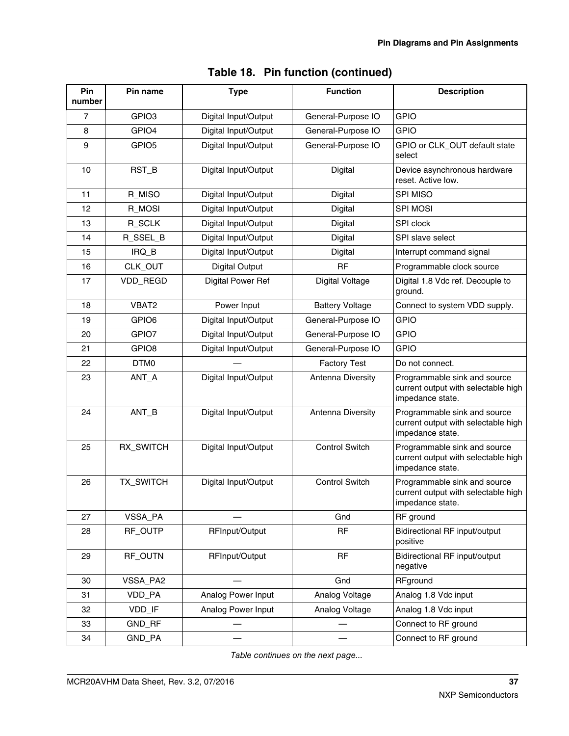| Pin<br>number    | Pin name          | <b>Type</b>              | <b>Function</b>        | <b>Description</b>                                                                      |
|------------------|-------------------|--------------------------|------------------------|-----------------------------------------------------------------------------------------|
| $\overline{7}$   | GPIO <sub>3</sub> | Digital Input/Output     | General-Purpose IO     | <b>GPIO</b>                                                                             |
| 8                | GPIO4             | Digital Input/Output     | General-Purpose IO     | <b>GPIO</b>                                                                             |
| $\boldsymbol{9}$ | GPIO <sub>5</sub> | Digital Input/Output     | General-Purpose IO     | GPIO or CLK_OUT default state<br>select                                                 |
| 10               | RST_B             | Digital Input/Output     | Digital                | Device asynchronous hardware<br>reset. Active low.                                      |
| 11               | R_MISO            | Digital Input/Output     | Digital                | SPI MISO                                                                                |
| 12               | R_MOSI            | Digital Input/Output     | Digital                | <b>SPI MOSI</b>                                                                         |
| 13               | R_SCLK            | Digital Input/Output     | Digital                | SPI clock                                                                               |
| 14               | R_SSEL_B          | Digital Input/Output     | Digital                | SPI slave select                                                                        |
| 15               | $IRQ$ $B$         | Digital Input/Output     | Digital                | Interrupt command signal                                                                |
| 16               | CLK_OUT           | <b>Digital Output</b>    | <b>RF</b>              | Programmable clock source                                                               |
| 17               | VDD_REGD          | <b>Digital Power Ref</b> | <b>Digital Voltage</b> | Digital 1.8 Vdc ref. Decouple to<br>ground.                                             |
| 18               | VBAT2             | Power Input              | <b>Battery Voltage</b> | Connect to system VDD supply.                                                           |
| 19               | GPIO6             | Digital Input/Output     | General-Purpose IO     | <b>GPIO</b>                                                                             |
| 20               | GPIO7             | Digital Input/Output     | General-Purpose IO     | <b>GPIO</b>                                                                             |
| 21               | GPIO <sub>8</sub> | Digital Input/Output     | General-Purpose IO     | <b>GPIO</b>                                                                             |
| 22               | DTM0              |                          | <b>Factory Test</b>    | Do not connect.                                                                         |
| 23               | ANT_A             | Digital Input/Output     | Antenna Diversity      | Programmable sink and source<br>current output with selectable high<br>impedance state. |
| 24               | $ANT_B$           | Digital Input/Output     | Antenna Diversity      | Programmable sink and source<br>current output with selectable high<br>impedance state. |
| 25               | RX_SWITCH         | Digital Input/Output     | <b>Control Switch</b>  | Programmable sink and source<br>current output with selectable high<br>impedance state. |
| 26               | TX_SWITCH         | Digital Input/Output     | <b>Control Switch</b>  | Programmable sink and source<br>current output with selectable high<br>impedance state. |
| 27               | VSSA_PA           |                          | Gnd                    | RF ground                                                                               |
| 28               | RF_OUTP           | RFInput/Output           | <b>RF</b>              | <b>Bidirectional RF input/output</b><br>positive                                        |
| 29               | RF_OUTN           | RFInput/Output           | RF                     | Bidirectional RF input/output<br>negative                                               |
| 30               | VSSA_PA2          |                          | Gnd                    | RFground                                                                                |
| 31               | VDD_PA            | Analog Power Input       | Analog Voltage         | Analog 1.8 Vdc input                                                                    |
| 32               | VDD_IF            | Analog Power Input       | Analog Voltage         | Analog 1.8 Vdc input                                                                    |
| 33               | GND_RF            |                          |                        | Connect to RF ground                                                                    |
| 34               | GND_PA            |                          |                        | Connect to RF ground                                                                    |

| Table 18. Pin function (continued) |
|------------------------------------|
|------------------------------------|

*Table continues on the next page...*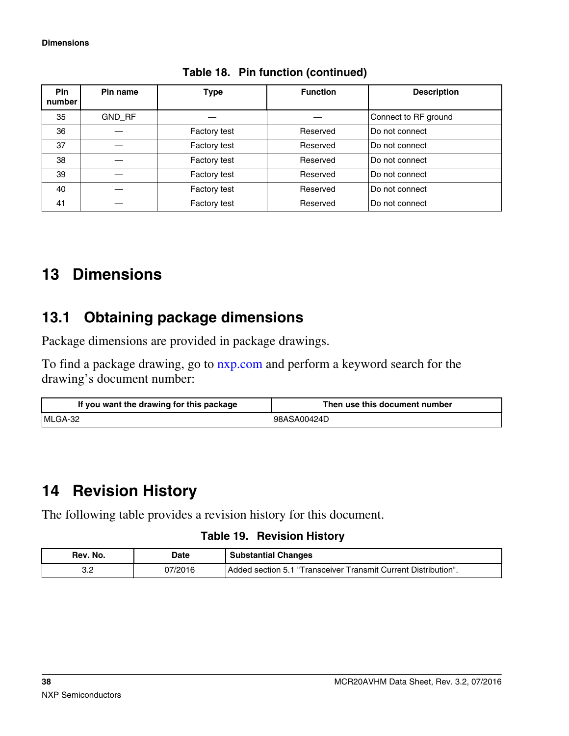<span id="page-37-0"></span>

| <b>Pin</b><br>number | Pin name | Type                | <b>Function</b> | <b>Description</b>   |
|----------------------|----------|---------------------|-----------------|----------------------|
| 35                   | GND RF   |                     |                 | Connect to RF ground |
| 36                   |          | <b>Factory test</b> | Reserved        | Do not connect       |
| 37                   |          | Factory test        | Reserved        | Do not connect       |
| 38                   |          | Factory test        | Reserved        | Do not connect       |
| 39                   |          | Factory test        | Reserved        | Do not connect       |
| 40                   |          | Factory test        | Reserved        | Do not connect       |
| 41                   |          | Factory test        | Reserved        | Do not connect       |

**Table 18. Pin function (continued)**

## **13 Dimensions**

## **13.1 Obtaining package dimensions**

Package dimensions are provided in package drawings.

To find a package drawing, go to [nxp.com](http://www.nxp.com) and perform a keyword search for the drawing's document number:

| If you want the drawing for this package | Then use this document number |
|------------------------------------------|-------------------------------|
| MLGA-32                                  | 98ASA00424D                   |

# **14 Revision History**

The following table provides a revision history for this document.

#### **Table 19. Revision History**

| Rev. No. | Date    | <b>Substantial Changes</b>                                       |
|----------|---------|------------------------------------------------------------------|
| ົດ       | 07/2016 | l Added section 5.1 "Transceiver Transmit Current Distribution". |